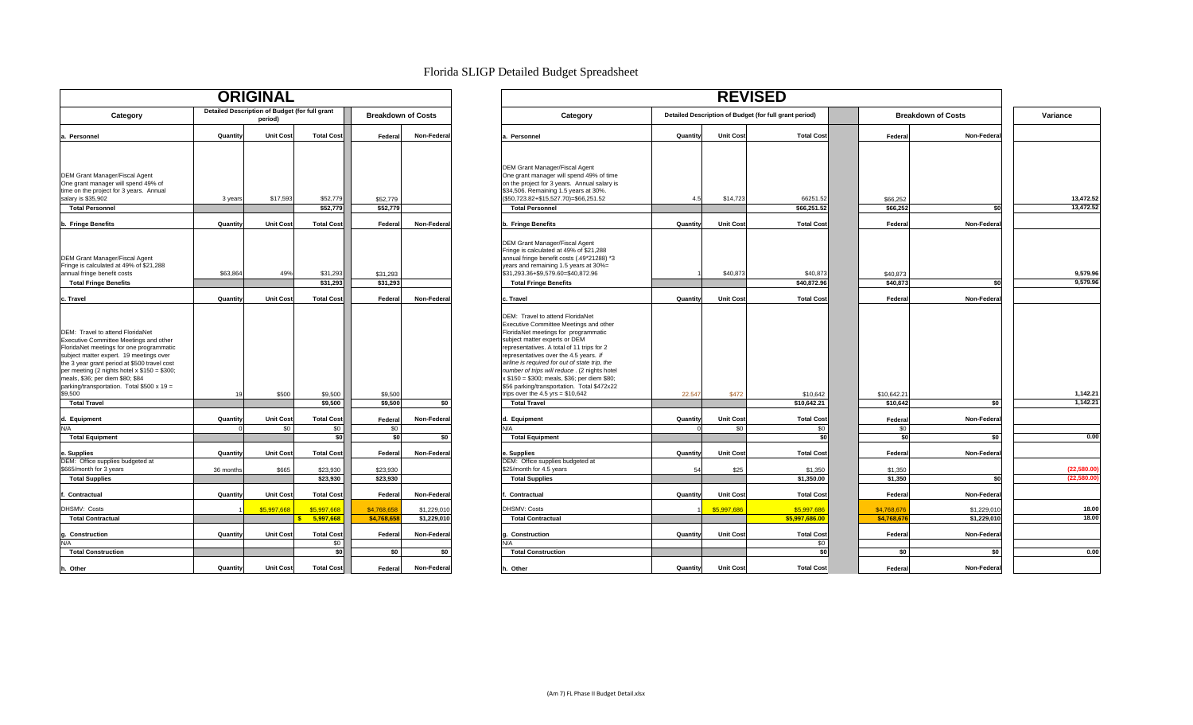| <b>ORIGINAL</b>                                                                                                                                                                                                                                                                                                                                                 |                      |                                                           |                                          |                           |                            |                                                                                                                                                                                                                                                                                                                                                                                                                                                                                      |                      |                         | <b>REVISED</b>                                         |
|-----------------------------------------------------------------------------------------------------------------------------------------------------------------------------------------------------------------------------------------------------------------------------------------------------------------------------------------------------------------|----------------------|-----------------------------------------------------------|------------------------------------------|---------------------------|----------------------------|--------------------------------------------------------------------------------------------------------------------------------------------------------------------------------------------------------------------------------------------------------------------------------------------------------------------------------------------------------------------------------------------------------------------------------------------------------------------------------------|----------------------|-------------------------|--------------------------------------------------------|
| Category                                                                                                                                                                                                                                                                                                                                                        |                      | Detailed Description of Budget (for full grant<br>period) |                                          |                           | <b>Breakdown of Costs</b>  | Category                                                                                                                                                                                                                                                                                                                                                                                                                                                                             |                      |                         | Detailed Description of Budget (for full grant period) |
| Personnel<br>a.                                                                                                                                                                                                                                                                                                                                                 | Quantity             | <b>Unit Cost</b>                                          | <b>Total Cost</b>                        | Federal                   | Non-Federa                 | a. Personnel                                                                                                                                                                                                                                                                                                                                                                                                                                                                         | Quantity             | <b>Unit Cost</b>        | <b>Total Cos</b>                                       |
| <b>DEM Grant Manager/Fiscal Agent</b><br>One grant manager will spend 49% of<br>time on the project for 3 years. Annual<br>salary is \$35,902                                                                                                                                                                                                                   | 3 years              | \$17,593                                                  | \$52,779                                 | \$52,779                  |                            | <b>DEM Grant Manager/Fiscal Agent</b><br>One grant manager will spend 49% of time<br>on the project for 3 years. Annual salary is<br>\$34,506. Remaining 1.5 years at 30%.<br>(\$50,723.82+\$15,527.70)=\$66,251.52                                                                                                                                                                                                                                                                  | 4.5                  | \$14,723                | 66251.5                                                |
| <b>Total Personnel</b>                                                                                                                                                                                                                                                                                                                                          |                      |                                                           | \$52,779                                 | \$52,779                  |                            | <b>Total Personnel</b>                                                                                                                                                                                                                                                                                                                                                                                                                                                               |                      |                         | \$66,251.5                                             |
| b. Fringe Benefits                                                                                                                                                                                                                                                                                                                                              | Quantity             | <b>Unit Cost</b>                                          | <b>Total Cost</b>                        | Federa                    | Non-Federa                 | b. Fringe Benefits                                                                                                                                                                                                                                                                                                                                                                                                                                                                   | Quantity             | <b>Unit Cost</b>        | <b>Total Cos</b>                                       |
| <b>DEM Grant Manager/Fiscal Agent</b><br>Fringe is calculated at 49% of \$21,288<br>annual fringe benefit costs<br><b>Total Fringe Benefits</b>                                                                                                                                                                                                                 | \$63,864             | 49%                                                       | \$31,293<br>\$31,293                     | \$31.293<br>\$31,293      |                            | <b>DEM Grant Manager/Fiscal Agent</b><br>Fringe is calculated at 49% of \$21,288<br>annual fringe benefit costs (.49*21288) *3<br>years and remaining 1.5 years at 30%=<br>\$31,293.36+\$9,579.60=\$40,872.96<br><b>Total Fringe Benefits</b>                                                                                                                                                                                                                                        |                      | \$40,873                | \$40,87<br>\$40,872.9                                  |
| c. Travel                                                                                                                                                                                                                                                                                                                                                       | Quantity             | <b>Unit Cost</b>                                          | <b>Total Cost</b>                        | Federal                   | Non-Federa                 | c. Travel                                                                                                                                                                                                                                                                                                                                                                                                                                                                            | Quantity             | <b>Unit Cost</b>        | <b>Total Cos</b>                                       |
| DEM: Travel to attend FloridaNet<br>Executive Committee Meetings and other<br>FloridaNet meetings for one programmatic<br>subject matter expert. 19 meetings over<br>the 3 year grant period at \$500 travel cost<br>per meeting (2 nights hotel $x $150 = $300$ ;<br>meals, \$36; per diem \$80; \$84<br>parking/transportation. Total \$500 x 19 =<br>\$9,500 | 19                   | \$500                                                     | \$9,500                                  | \$9,500                   |                            | DEM: Travel to attend FloridaNet<br>Executive Committee Meetings and other<br>FloridaNet meetings for programmatic<br>subject matter experts or DEM<br>representatives. A total of 11 trips for 2<br>representatives over the 4.5 years. If<br>airline is required for out of state trip, the<br>number of trips will reduce . (2 nights hotel<br>x \$150 = \$300; meals, \$36; per diem \$80;<br>\$56 parking/transportation. Total \$472x22<br>trips over the $4.5$ yrs = \$10,642 | 22.547               | \$472                   | \$10,642                                               |
| <b>Total Travel</b>                                                                                                                                                                                                                                                                                                                                             |                      |                                                           | \$9,500                                  | \$9,500                   | \$0                        | <b>Total Travel</b>                                                                                                                                                                                                                                                                                                                                                                                                                                                                  |                      |                         | \$10,642.21                                            |
| d. Equipment<br>N/A                                                                                                                                                                                                                                                                                                                                             | Quantity<br>$\Omega$ | <b>Unit Cost</b><br>\$0                                   | <b>Total Cost</b><br>\$0                 | Federa<br>\$0             | Non-Federa                 | d. Equipment<br>N/A                                                                                                                                                                                                                                                                                                                                                                                                                                                                  | Quantity<br>$\Omega$ | <b>Unit Cost</b><br>\$0 | <b>Total Cos</b><br>\$0                                |
| <b>Total Equipment</b>                                                                                                                                                                                                                                                                                                                                          |                      |                                                           | \$0                                      | \$0                       | \$0                        | <b>Total Equipment</b>                                                                                                                                                                                                                                                                                                                                                                                                                                                               |                      |                         | \$                                                     |
| . Supplies<br>e                                                                                                                                                                                                                                                                                                                                                 | Quantity             | <b>Unit Cost</b>                                          | <b>Total Cost</b>                        | Federa                    | Non-Federa                 | e. Supplies<br>DEM: Office supplies budgeted at                                                                                                                                                                                                                                                                                                                                                                                                                                      | Quantity             | <b>Unit Cost</b>        | <b>Total Cos</b>                                       |
| DEM: Office supplies budgeted at<br>\$665/month for 3 years                                                                                                                                                                                                                                                                                                     | 36 months            | \$665                                                     | \$23,930                                 | \$23,930                  |                            | \$25/month for 4.5 years                                                                                                                                                                                                                                                                                                                                                                                                                                                             | 54                   | \$25                    | \$1,350                                                |
| <b>Total Supplies</b>                                                                                                                                                                                                                                                                                                                                           |                      |                                                           | \$23,930                                 | \$23,930                  |                            | <b>Total Supplies</b>                                                                                                                                                                                                                                                                                                                                                                                                                                                                |                      |                         | $\sqrt{$1,350.00}$                                     |
| Contractual                                                                                                                                                                                                                                                                                                                                                     | Quantity             | <b>Unit Cost</b>                                          | <b>Total Cost</b>                        | Federal                   | Non-Federal                | Contractual                                                                                                                                                                                                                                                                                                                                                                                                                                                                          | Quantity             | <b>Unit Cost</b>        | <b>Total Cos</b>                                       |
| DHSMV: Costs                                                                                                                                                                                                                                                                                                                                                    |                      |                                                           |                                          |                           |                            | <b>DHSMV: Costs</b>                                                                                                                                                                                                                                                                                                                                                                                                                                                                  |                      |                         |                                                        |
| <b>Total Contractual</b>                                                                                                                                                                                                                                                                                                                                        |                      | \$5,997,668                                               | \$5,997,668<br>5,997,668<br>$\mathbf{s}$ | \$4,768,658<br>\$4,768,65 | \$1,229,010<br>\$1.229.010 | <b>Total Contractual</b>                                                                                                                                                                                                                                                                                                                                                                                                                                                             |                      | \$5,997,686             | \$5,997,686<br>\$5,997,686.00                          |
| Construction<br>g                                                                                                                                                                                                                                                                                                                                               | Quantity             | <b>Unit Cost</b>                                          | <b>Total Cost</b>                        | Federal                   | Non-Federal                | Construction                                                                                                                                                                                                                                                                                                                                                                                                                                                                         | Quantity             | <b>Unit Cost</b>        | <b>Total Cos</b>                                       |
| N/A                                                                                                                                                                                                                                                                                                                                                             |                      |                                                           | \$0                                      |                           |                            | N/A                                                                                                                                                                                                                                                                                                                                                                                                                                                                                  |                      |                         | \$0                                                    |
| <b>Total Construction</b>                                                                                                                                                                                                                                                                                                                                       |                      |                                                           | \$0                                      | \$0                       | \$0                        | <b>Total Construction</b>                                                                                                                                                                                                                                                                                                                                                                                                                                                            |                      |                         | \$                                                     |
| h. Other                                                                                                                                                                                                                                                                                                                                                        | Quantity             | <b>Unit Cost</b>                                          | <b>Total Cost</b>                        | Federal                   | Non-Federal                | h. Other                                                                                                                                                                                                                                                                                                                                                                                                                                                                             | Quantity             | <b>Unit Cost</b>        | <b>Total Cos</b>                                       |

### Florida SLIGP Detailed Budget Spreadsheet

| <b>ORIGINAL</b>                                                                                                                                                                                                                                                                                                                                                                       |           |                                                           |                               |                           |             |                                                                                                                                                                                                                                                                                                                                                                                                                                                                                                           |                |                         |                                                        |                           |             |                        |
|---------------------------------------------------------------------------------------------------------------------------------------------------------------------------------------------------------------------------------------------------------------------------------------------------------------------------------------------------------------------------------------|-----------|-----------------------------------------------------------|-------------------------------|---------------------------|-------------|-----------------------------------------------------------------------------------------------------------------------------------------------------------------------------------------------------------------------------------------------------------------------------------------------------------------------------------------------------------------------------------------------------------------------------------------------------------------------------------------------------------|----------------|-------------------------|--------------------------------------------------------|---------------------------|-------------|------------------------|
| Category                                                                                                                                                                                                                                                                                                                                                                              |           | Detailed Description of Budget (for full grant<br>period) |                               | <b>Breakdown of Costs</b> |             | Category                                                                                                                                                                                                                                                                                                                                                                                                                                                                                                  |                |                         | Detailed Description of Budget (for full grant period) | <b>Breakdown of Costs</b> |             | Variance               |
| a. Personnel                                                                                                                                                                                                                                                                                                                                                                          | Quantity  | <b>Unit Cost</b>                                          | <b>Total Cost</b>             | Federal                   | Non-Federal | . Personnel                                                                                                                                                                                                                                                                                                                                                                                                                                                                                               | Quantity       | <b>Unit Cost</b>        | <b>Total Cost</b>                                      | Federal                   | Non-Federal |                        |
| <b>DEM Grant Manager/Fiscal Agent</b><br>One grant manager will spend 49% of<br>time on the project for 3 years. Annual<br>salary is \$35,902<br><b>Total Personnel</b>                                                                                                                                                                                                               | 3 years   | \$17,593                                                  | \$52,779<br>\$52,779          | \$52,779<br>\$52,779      |             | DEM Grant Manager/Fiscal Agent<br>One grant manager will spend 49% of time<br>on the project for 3 years. Annual salary is<br>\$34,506. Remaining 1.5 years at 30%.<br>(\$50,723.82+\$15,527.70)=\$66,251.52<br><b>Total Personnel</b>                                                                                                                                                                                                                                                                    | 4.5            | \$14,723                | 66251.52<br>\$66.251.52                                | \$66,252<br>\$66,252      | \$0         | 13,472.52<br>13,472.52 |
| b. Fringe Benefits                                                                                                                                                                                                                                                                                                                                                                    | Quantity  | <b>Unit Cost</b>                                          | <b>Total Cost</b>             | Federal                   | Non-Federal | Fringe Benefits                                                                                                                                                                                                                                                                                                                                                                                                                                                                                           | Quantity       | <b>Unit Cost</b>        | <b>Total Cost</b>                                      | Federa                    | Non-Federa  |                        |
| <b>DEM Grant Manager/Fiscal Agent</b><br>Fringe is calculated at 49% of \$21,288<br>annual fringe benefit costs<br><b>Total Fringe Benefits</b>                                                                                                                                                                                                                                       | \$63,864  | 49%                                                       | \$31,293<br>\$31,293          | \$31.293<br>\$31,293      |             | DEM Grant Manager/Fiscal Agent<br>Fringe is calculated at 49% of \$21,288<br>annual fringe benefit costs (.49*21288) *3<br>years and remaining 1.5 years at 30%=<br>\$31,293.36+\$9,579.60=\$40,872.96<br><b>Total Fringe Benefits</b>                                                                                                                                                                                                                                                                    |                | \$40,873                | \$40,873<br>\$40,872.96                                | \$40,873<br>\$40,873      | \$0         | 9,579.96<br>9,579.96   |
| c. Travel                                                                                                                                                                                                                                                                                                                                                                             | Quantity  | <b>Unit Cost</b>                                          | <b>Total Cost</b>             | Federal                   | Non-Federal | . Travel                                                                                                                                                                                                                                                                                                                                                                                                                                                                                                  | Quantity       | <b>Unit Cost</b>        | <b>Total Cost</b>                                      | Federa                    | Non-Federa  |                        |
| DEM: Travel to attend FloridaNet<br>Executive Committee Meetings and other<br>FloridaNet meetings for one programmatic<br>subject matter expert. 19 meetings over<br>the 3 year grant period at \$500 travel cost<br>per meeting (2 nights hotel x \$150 = \$300;<br>meals, \$36; per diem \$80; \$84<br>parking/transportation. Total \$500 x 19 =<br>\$9,500<br><b>Total Travel</b> |           | \$500                                                     | \$9,500<br>\$9,500            | \$9,500<br>\$9,500        | \$0         | DEM: Travel to attend FloridaNet<br>Executive Committee Meetings and other<br>FloridaNet meetings for programmatic<br>subject matter experts or DEM<br>representatives. A total of 11 trips for 2<br>representatives over the 4.5 years. If<br>airline is required for out of state trip, the<br>number of trips will reduce. (2 nights hotel<br>x \$150 = \$300; meals, \$36; per diem \$80;<br>\$56 parking/transportation. Total \$472x22<br>rips over the $4.5$ yrs = \$10,642<br><b>Total Travel</b> | 22.547         | \$472                   | \$10,642<br>\$10,642.21                                | \$10,642.2<br>\$10,642    | \$0         | 1,142.21<br>1,142.21   |
|                                                                                                                                                                                                                                                                                                                                                                                       |           |                                                           |                               |                           |             |                                                                                                                                                                                                                                                                                                                                                                                                                                                                                                           |                |                         |                                                        |                           |             |                        |
| d. Equipment<br>N/A                                                                                                                                                                                                                                                                                                                                                                   | Quantity  | <b>Unit Cost</b><br>\$0                                   | <b>Total Cost</b><br>\$0      | Federal<br>\$0            | Non-Federal | d. Equipment<br>N/A                                                                                                                                                                                                                                                                                                                                                                                                                                                                                       | Quantity       | <b>Unit Cost</b><br>\$0 | <b>Total Cost</b><br>\$0                               | Federa<br>\$0             | Non-Federa  |                        |
| <b>Total Equipment</b>                                                                                                                                                                                                                                                                                                                                                                |           |                                                           | \$0                           | \$0                       | \$0         | <b>Total Equipment</b>                                                                                                                                                                                                                                                                                                                                                                                                                                                                                    |                |                         | \$0                                                    | \$0                       | \$0         | 0.00                   |
| e. Supplies<br>DEM: Office supplies budgeted at<br>\$665/month for 3 years                                                                                                                                                                                                                                                                                                            | Quantity  | <b>Unit Cost</b><br>\$665                                 | <b>Total Cost</b><br>\$23,930 | Federal<br>\$23,930       | Non-Federa  | Supplies<br>DEM: Office supplies budgeted at<br>\$25/month for 4.5 years                                                                                                                                                                                                                                                                                                                                                                                                                                  | Quantity<br>54 | <b>Unit Cost</b>        | <b>Total Cost</b>                                      | Federa<br>\$1,350         | Non-Federa  | (22,580.00)            |
| <b>Total Supplies</b>                                                                                                                                                                                                                                                                                                                                                                 | 36 months |                                                           | \$23.930                      | \$23.930                  |             | <b>Total Supplies</b>                                                                                                                                                                                                                                                                                                                                                                                                                                                                                     |                | \$25                    | \$1,350<br>\$1,350.00                                  | \$1.350                   | \$0         | (22,580.00)            |
| Contractual                                                                                                                                                                                                                                                                                                                                                                           | Quantity  | <b>Unit Cost</b>                                          | <b>Total Cost</b>             | Federal                   | Non-Federa  | Contractual                                                                                                                                                                                                                                                                                                                                                                                                                                                                                               | Quantity       | <b>Unit Cost</b>        | <b>Total Cost</b>                                      | Federa                    | Non-Federa  |                        |
| DHSMV: Costs                                                                                                                                                                                                                                                                                                                                                                          |           | \$5,997,668                                               | \$5,997,668                   | \$4,768.65                | \$1,229,010 | DHSMV: Costs                                                                                                                                                                                                                                                                                                                                                                                                                                                                                              |                | \$5,997,686             | \$5,997,686                                            | \$4,768,676               | \$1,229,01  | 18.00                  |
| <b>Total Contractual</b>                                                                                                                                                                                                                                                                                                                                                              |           |                                                           | 5,997,668                     | \$4,768,65                | \$1,229,010 | <b>Total Contractual</b>                                                                                                                                                                                                                                                                                                                                                                                                                                                                                  |                |                         | \$5,997,686.00                                         | \$4,768,676               | \$1,229,010 | 18.00                  |
| . Construction<br>N/A                                                                                                                                                                                                                                                                                                                                                                 | Quantity  | <b>Unit Cost</b>                                          | <b>Total Cost</b><br>\$0      | Federal                   | Non-Federa  | Construction                                                                                                                                                                                                                                                                                                                                                                                                                                                                                              | Quantity       | <b>Unit Cost</b>        | <b>Total Cost</b><br>\$0                               | Federa                    | Non-Federa  |                        |
| <b>Total Construction</b>                                                                                                                                                                                                                                                                                                                                                             |           |                                                           | \$0                           | \$0                       | \$0         | <b>Total Construction</b>                                                                                                                                                                                                                                                                                                                                                                                                                                                                                 |                |                         | \$0                                                    | \$0                       | \$O         | 0.00                   |
| h. Other                                                                                                                                                                                                                                                                                                                                                                              | Quantity  | <b>Unit Cost</b>                                          | <b>Total Cost</b>             | Federal                   | Non-Federal | Other                                                                                                                                                                                                                                                                                                                                                                                                                                                                                                     | Quantity       | <b>Unit Cost</b>        | <b>Total Cost</b>                                      | Federal                   | Non-Federa  |                        |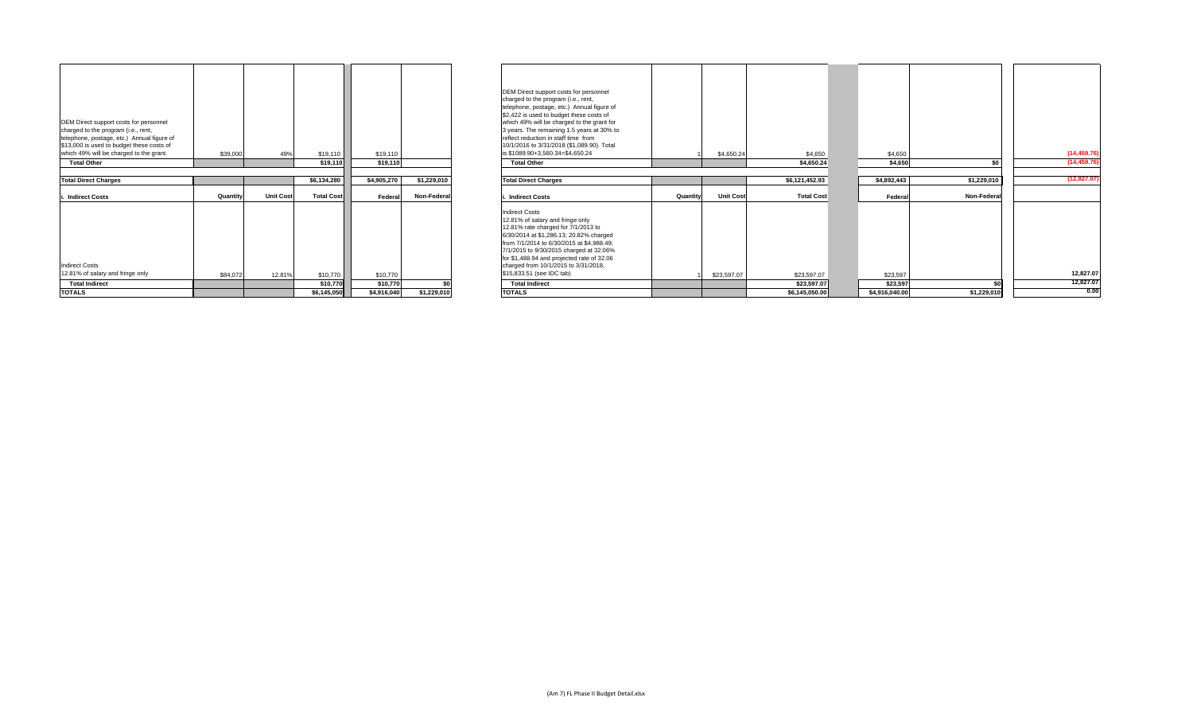| <b>TOTALS</b>                                                                                                                                                                                                       |          |                  | \$6.145.050       | \$4.916.040 | \$1.229.010 |
|---------------------------------------------------------------------------------------------------------------------------------------------------------------------------------------------------------------------|----------|------------------|-------------------|-------------|-------------|
| <b>Total Indirect</b>                                                                                                                                                                                               |          |                  | \$10,770          | \$10,770    | \$0         |
| <b>Indirect Costs</b><br>12.81% of salary and fringe only                                                                                                                                                           | \$84,072 | 12.81%           | \$10,770          | \$10,770    |             |
| i. Indirect Costs                                                                                                                                                                                                   | Quantity | <b>Unit Cost</b> | <b>Total Cost</b> | Federal     | Non-Federa  |
| <b>Total Direct Charges</b>                                                                                                                                                                                         |          |                  | \$6,134,280       | \$4,905,270 | \$1,229,010 |
|                                                                                                                                                                                                                     |          |                  |                   |             |             |
| <b>Total Other</b>                                                                                                                                                                                                  |          |                  | \$19,110          | \$19,110    |             |
| DEM Direct support costs for personnel<br>charged to the program (i.e., rent,<br>telephone, postage, etc.) Annual figure of<br>\$13,000 is used to budget these costs of<br>which 49% will be charged to the grant. | \$39,000 | 49%              | \$19,110          | \$19,110    |             |

| DEM Direct support costs for personnel<br>charged to the program (i.e., rent,<br>telephone, postage, etc.) Annual figure of<br>\$13,000 is used to budget these costs of<br>which 49% will be charged to the grant.<br><b>Total Other</b> | \$39,000 | 49%              | \$19,110<br>\$19,110 | \$19,110<br>\$19,110 |             | DEM Direct support costs for personnel<br>charged to the program (i.e., rent,<br>telephone, postage, etc.) Annual figure of<br>\$2,422 is used to budget these costs of<br>which 49% will be charged to the grant for<br>3 years. The remaining 1.5 years at 30% to<br>reflect reduction in staff time from<br>10/1/2016 to 3/31/2018 (\$1,089.90). Total<br>is \$1089.90+3,560.34=\$4,650.24<br><b>Total Other</b> |          | \$4,650.24       | \$4,650<br>\$4,650.24 | \$4,650<br>\$4,650 | \$0         | (14, 459.76)<br>(14, 459.76) |
|-------------------------------------------------------------------------------------------------------------------------------------------------------------------------------------------------------------------------------------------|----------|------------------|----------------------|----------------------|-------------|---------------------------------------------------------------------------------------------------------------------------------------------------------------------------------------------------------------------------------------------------------------------------------------------------------------------------------------------------------------------------------------------------------------------|----------|------------------|-----------------------|--------------------|-------------|------------------------------|
| <b>Total Direct Charges</b>                                                                                                                                                                                                               |          |                  | \$6,134,280          | \$4,905,270          | \$1,229,010 | <b>Total Direct Charges</b>                                                                                                                                                                                                                                                                                                                                                                                         |          |                  | \$6,121,452.93        | \$4,892,443        | \$1,229,010 | (12, 827.07)                 |
| i. Indirect Costs                                                                                                                                                                                                                         | Quantity | <b>Unit Cost</b> | <b>Total Cost</b>    | Federal              | Non-Federal | <b>Indirect Costs</b>                                                                                                                                                                                                                                                                                                                                                                                               | Quantity | <b>Unit Cost</b> | <b>Total Cost</b>     | Federal            | Non-Federal |                              |
| <b>Indirect Costs</b><br>12.81% of salary and fringe only                                                                                                                                                                                 | \$84,072 | 12.81%           | \$10,770             | \$10,770             |             | <b>Indirect Costs</b><br>12.81% of salary and fringe only<br>12.81% rate charged for 7/1/2013 to<br>6/30/2014 at \$1,286.13; 20.82% charged<br>from 7/1/2014 to 6/30/2015 at \$4,988.49;<br>7/1/2015 to 9/30/2015 charged at 32.06%<br>for \$1,488.94 and projected rate of 32.06<br>charged from 10/1/2015 to 3/31/2018,<br>\$15,833.51 (see IDC tab)                                                              |          | \$23,597.07      | \$23,597.07           | \$23,597           |             | 12,827.07                    |
| <b>Total Indirect</b>                                                                                                                                                                                                                     |          |                  | \$10,770             | \$10,770             |             | <b>Total Indirect</b>                                                                                                                                                                                                                                                                                                                                                                                               |          |                  | \$23,597.07           | \$23,597           | \$          | 12,827.07                    |
| <b>TOTALS</b>                                                                                                                                                                                                                             |          |                  | \$6,145,050          | \$4,916,040          | \$1,229,010 | <b>TOTALS</b>                                                                                                                                                                                                                                                                                                                                                                                                       |          |                  | \$6,145,050.00        | \$4,916,040.00     | \$1,229,010 | 0.00                         |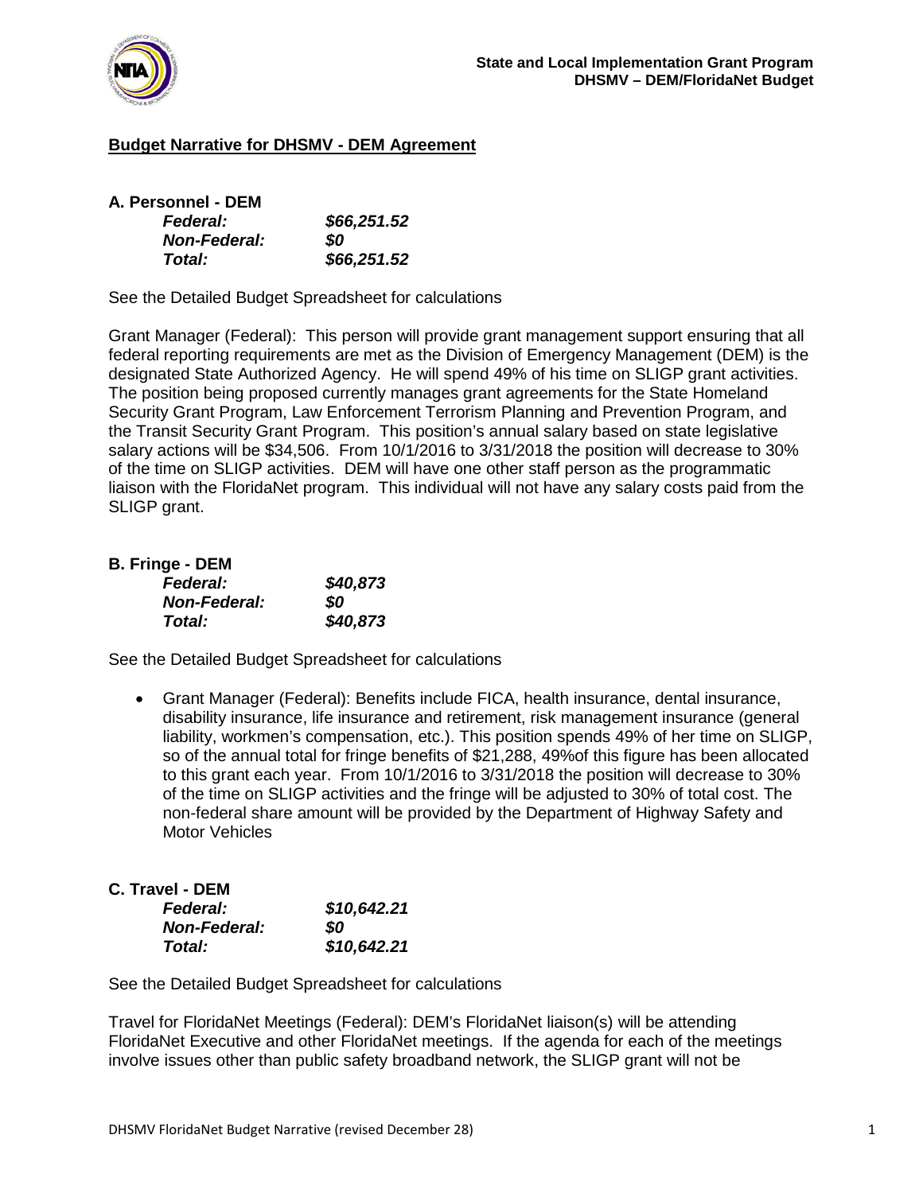

### **Budget Narrative for DHSMV - DEM Agreement**

| A. Personnel - DEM  |             |
|---------------------|-------------|
| <b>Federal:</b>     | \$66,251.52 |
| <b>Non-Federal:</b> | SO.         |
| Total:              | \$66,251.52 |

See the Detailed Budget Spreadsheet for calculations

Grant Manager (Federal): This person will provide grant management support ensuring that all federal reporting requirements are met as the Division of Emergency Management (DEM) is the designated State Authorized Agency. He will spend 49% of his time on SLIGP grant activities. The position being proposed currently manages grant agreements for the State Homeland Security Grant Program, Law Enforcement Terrorism Planning and Prevention Program, and the Transit Security Grant Program. This position's annual salary based on state legislative salary actions will be \$34,506. From 10/1/2016 to 3/31/2018 the position will decrease to 30% of the time on SLIGP activities. DEM will have one other staff person as the programmatic liaison with the FloridaNet program. This individual will not have any salary costs paid from the SLIGP grant.

### **B. Fringe - DEM**

| .<br><b>Federal:</b> | \$40,873 |
|----------------------|----------|
| <b>Non-Federal:</b>  | SO.      |
| Total:               | \$40,873 |

See the Detailed Budget Spreadsheet for calculations

• Grant Manager (Federal): Benefits include FICA, health insurance, dental insurance, disability insurance, life insurance and retirement, risk management insurance (general liability, workmen's compensation, etc.). This position spends 49% of her time on SLIGP, so of the annual total for fringe benefits of \$21,288, 49%of this figure has been allocated to this grant each year. From 10/1/2016 to 3/31/2018 the position will decrease to 30% of the time on SLIGP activities and the fringe will be adjusted to 30% of total cost. The non-federal share amount will be provided by the Department of Highway Safety and Motor Vehicles

#### **C. Travel - DEM**

| <b>Federal:</b>     | \$10,642.21 |
|---------------------|-------------|
| <b>Non-Federal:</b> | SO          |
| Total:              | \$10,642.21 |

See the Detailed Budget Spreadsheet for calculations

Travel for FloridaNet Meetings (Federal): DEM's FloridaNet liaison(s) will be attending FloridaNet Executive and other FloridaNet meetings. If the agenda for each of the meetings involve issues other than public safety broadband network, the SLIGP grant will not be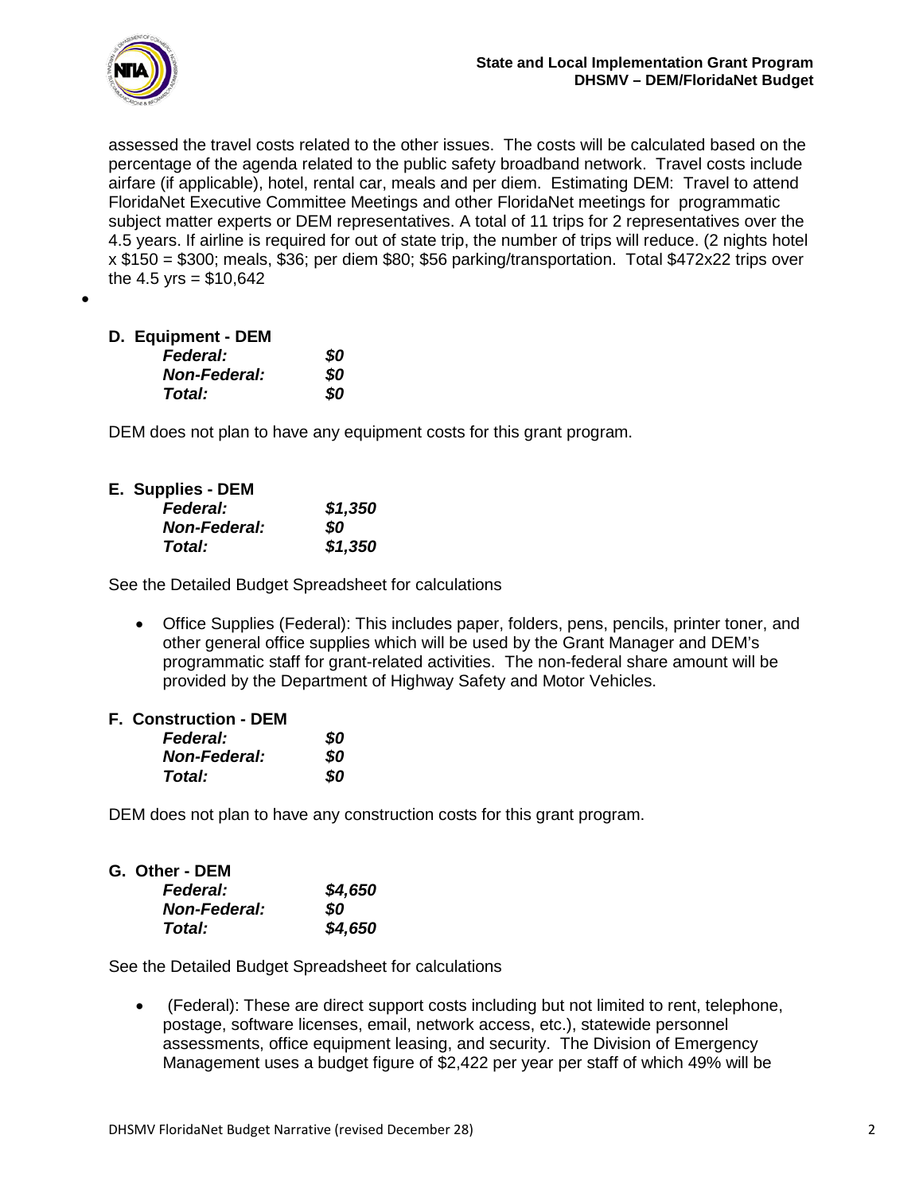

assessed the travel costs related to the other issues. The costs will be calculated based on the percentage of the agenda related to the public safety broadband network. Travel costs include airfare (if applicable), hotel, rental car, meals and per diem. Estimating DEM: Travel to attend FloridaNet Executive Committee Meetings and other FloridaNet meetings for programmatic subject matter experts or DEM representatives. A total of 11 trips for 2 representatives over the 4.5 years. If airline is required for out of state trip, the number of trips will reduce. (2 nights hotel x \$150 = \$300; meals, \$36; per diem \$80; \$56 parking/transportation. Total \$472x22 trips over the 4.5 yrs =  $$10,642$ 

•

| D. Equipment - DEM |  |
|--------------------|--|
| <b>Federal:</b>    |  |

| <b>Federal:</b>     | SO. |
|---------------------|-----|
| <b>Non-Federal:</b> | SO. |
| Total:              | SO. |

DEM does not plan to have any equipment costs for this grant program.

| E. Supplies - DEM   |         |
|---------------------|---------|
| <b>Federal:</b>     | \$1,350 |
| <b>Non-Federal:</b> | SO.     |
| Total:              | \$1,350 |

See the Detailed Budget Spreadsheet for calculations

• Office Supplies (Federal): This includes paper, folders, pens, pencils, printer toner, and other general office supplies which will be used by the Grant Manager and DEM's programmatic staff for grant-related activities. The non-federal share amount will be provided by the Department of Highway Safety and Motor Vehicles.

#### **F. Construction - DEM**

| <b>Federal:</b>     | 80 |
|---------------------|----|
| <b>Non-Federal:</b> | 80 |
| Total:              | 80 |

DEM does not plan to have any construction costs for this grant program.

| G.  Other - DEM     |         |
|---------------------|---------|
| <b>Federal:</b>     | \$4,650 |
| <b>Non-Federal:</b> | SO.     |
| Total:              | \$4,650 |

See the Detailed Budget Spreadsheet for calculations

• (Federal): These are direct support costs including but not limited to rent, telephone, postage, software licenses, email, network access, etc.), statewide personnel assessments, office equipment leasing, and security. The Division of Emergency Management uses a budget figure of \$2,422 per year per staff of which 49% will be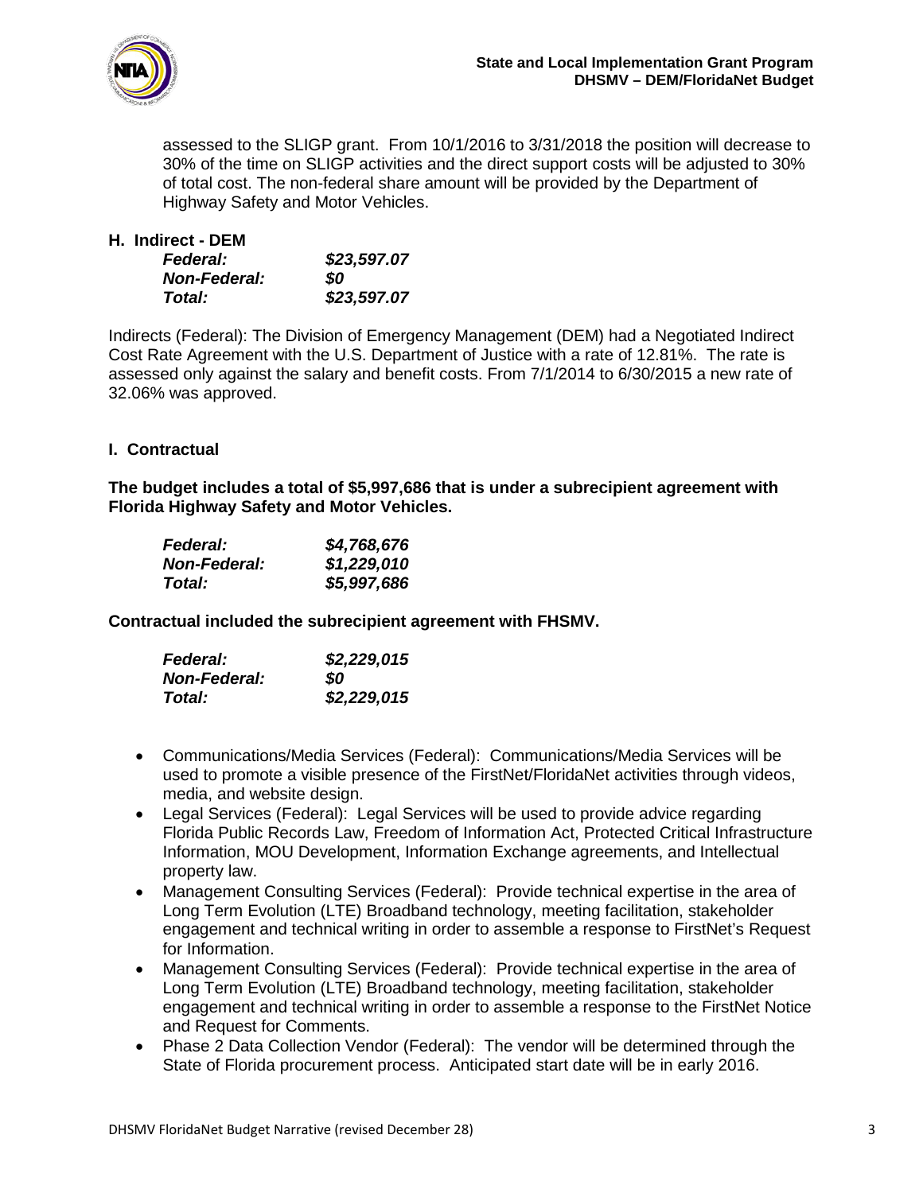

assessed to the SLIGP grant. From 10/1/2016 to 3/31/2018 the position will decrease to 30% of the time on SLIGP activities and the direct support costs will be adjusted to 30% of total cost. The non-federal share amount will be provided by the Department of Highway Safety and Motor Vehicles.

| H. Indirect - DEM   |             |
|---------------------|-------------|
| <b>Federal:</b>     | \$23,597.07 |
| <b>Non-Federal:</b> | SO.         |
| Total:              | \$23,597.07 |

Indirects (Federal): The Division of Emergency Management (DEM) had a Negotiated Indirect Cost Rate Agreement with the U.S. Department of Justice with a rate of 12.81%. The rate is assessed only against the salary and benefit costs. From 7/1/2014 to 6/30/2015 a new rate of 32.06% was approved.

### **I. Contractual**

**The budget includes a total of \$5,997,686 that is under a subrecipient agreement with Florida Highway Safety and Motor Vehicles.** 

| <b>Federal:</b>     | \$4,768,676 |
|---------------------|-------------|
| <b>Non-Federal:</b> | \$1,229,010 |
| Total:              | \$5,997,686 |

**Contractual included the subrecipient agreement with FHSMV.**

| <b>Federal:</b>     | \$2,229,015 |
|---------------------|-------------|
| <b>Non-Federal:</b> | SO          |
| Total:              | \$2,229,015 |

- Communications/Media Services (Federal): Communications/Media Services will be used to promote a visible presence of the FirstNet/FloridaNet activities through videos, media, and website design.
- Legal Services (Federal): Legal Services will be used to provide advice regarding Florida Public Records Law, Freedom of Information Act, Protected Critical Infrastructure Information, MOU Development, Information Exchange agreements, and Intellectual property law.
- Management Consulting Services (Federal): Provide technical expertise in the area of Long Term Evolution (LTE) Broadband technology, meeting facilitation, stakeholder engagement and technical writing in order to assemble a response to FirstNet's Request for Information.
- Management Consulting Services (Federal): Provide technical expertise in the area of Long Term Evolution (LTE) Broadband technology, meeting facilitation, stakeholder engagement and technical writing in order to assemble a response to the FirstNet Notice and Request for Comments.
- Phase 2 Data Collection Vendor (Federal): The vendor will be determined through the State of Florida procurement process. Anticipated start date will be in early 2016.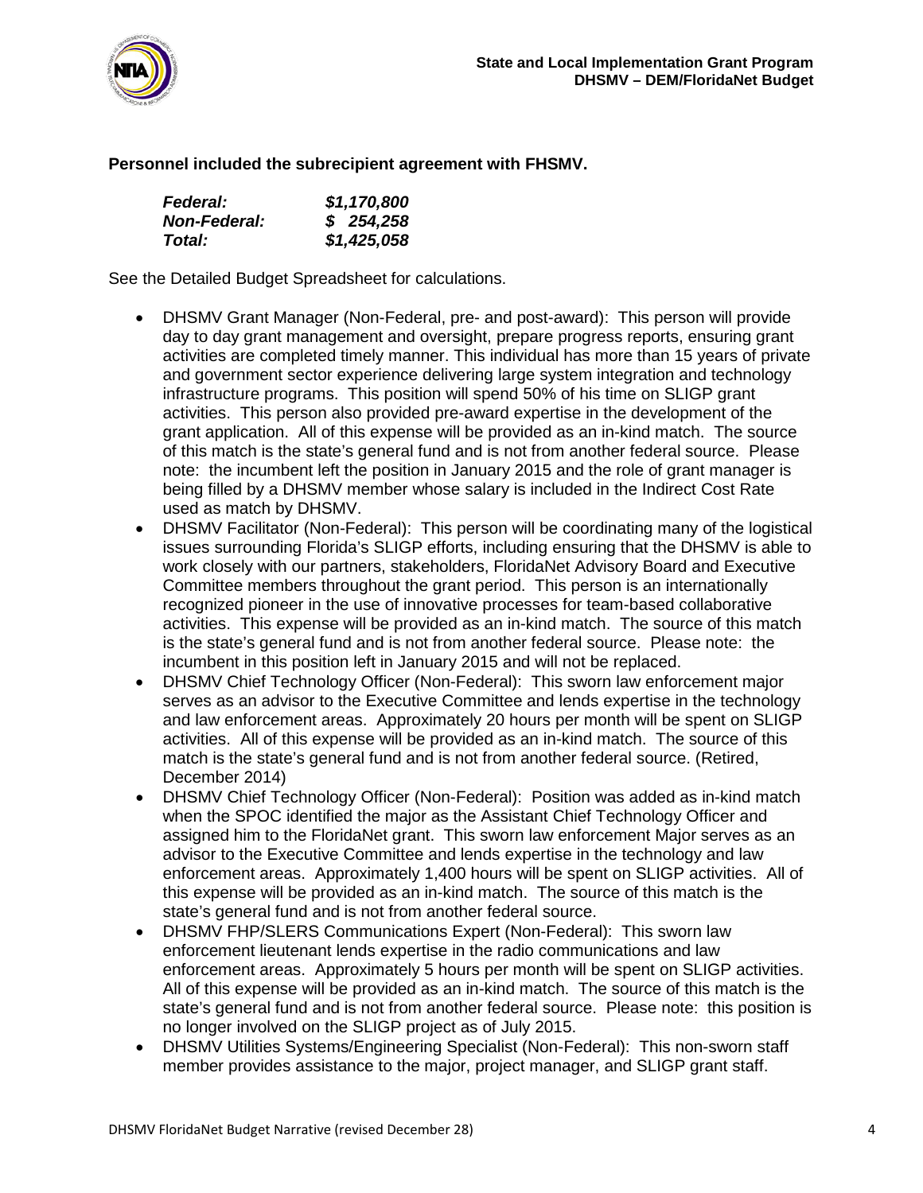

#### **Personnel included the subrecipient agreement with FHSMV.**

| <b>Federal:</b>     | \$1,170,800 |
|---------------------|-------------|
| <b>Non-Federal:</b> | \$254,258   |
| Total:              | \$1,425,058 |

See the Detailed Budget Spreadsheet for calculations.

- DHSMV Grant Manager (Non-Federal, pre- and post-award): This person will provide day to day grant management and oversight, prepare progress reports, ensuring grant activities are completed timely manner. This individual has more than 15 years of private and government sector experience delivering large system integration and technology infrastructure programs. This position will spend 50% of his time on SLIGP grant activities. This person also provided pre-award expertise in the development of the grant application. All of this expense will be provided as an in-kind match. The source of this match is the state's general fund and is not from another federal source. Please note: the incumbent left the position in January 2015 and the role of grant manager is being filled by a DHSMV member whose salary is included in the Indirect Cost Rate used as match by DHSMV.
- DHSMV Facilitator (Non-Federal): This person will be coordinating many of the logistical issues surrounding Florida's SLIGP efforts, including ensuring that the DHSMV is able to work closely with our partners, stakeholders, FloridaNet Advisory Board and Executive Committee members throughout the grant period. This person is an internationally recognized pioneer in the use of innovative processes for team-based collaborative activities. This expense will be provided as an in-kind match. The source of this match is the state's general fund and is not from another federal source. Please note: the incumbent in this position left in January 2015 and will not be replaced.
- DHSMV Chief Technology Officer (Non-Federal): This sworn law enforcement major serves as an advisor to the Executive Committee and lends expertise in the technology and law enforcement areas. Approximately 20 hours per month will be spent on SLIGP activities. All of this expense will be provided as an in-kind match. The source of this match is the state's general fund and is not from another federal source. (Retired, December 2014)
- DHSMV Chief Technology Officer (Non-Federal): Position was added as in-kind match when the SPOC identified the major as the Assistant Chief Technology Officer and assigned him to the FloridaNet grant. This sworn law enforcement Major serves as an advisor to the Executive Committee and lends expertise in the technology and law enforcement areas. Approximately 1,400 hours will be spent on SLIGP activities. All of this expense will be provided as an in-kind match. The source of this match is the state's general fund and is not from another federal source.
- DHSMV FHP/SLERS Communications Expert (Non-Federal): This sworn law enforcement lieutenant lends expertise in the radio communications and law enforcement areas. Approximately 5 hours per month will be spent on SLIGP activities. All of this expense will be provided as an in-kind match. The source of this match is the state's general fund and is not from another federal source. Please note: this position is no longer involved on the SLIGP project as of July 2015.
- DHSMV Utilities Systems/Engineering Specialist (Non-Federal): This non-sworn staff member provides assistance to the major, project manager, and SLIGP grant staff.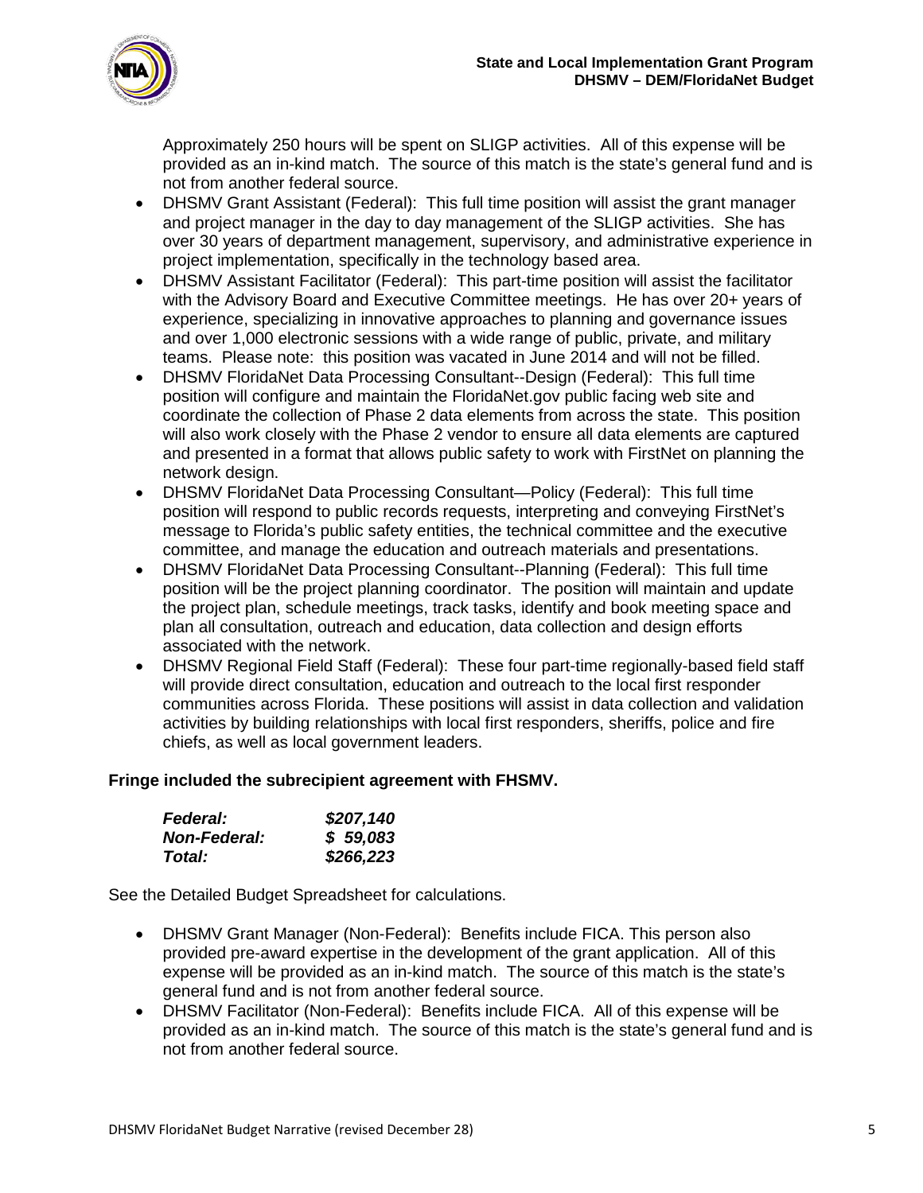

Approximately 250 hours will be spent on SLIGP activities. All of this expense will be provided as an in-kind match. The source of this match is the state's general fund and is not from another federal source.

- DHSMV Grant Assistant (Federal): This full time position will assist the grant manager and project manager in the day to day management of the SLIGP activities. She has over 30 years of department management, supervisory, and administrative experience in project implementation, specifically in the technology based area.
- DHSMV Assistant Facilitator (Federal): This part-time position will assist the facilitator with the Advisory Board and Executive Committee meetings. He has over 20+ years of experience, specializing in innovative approaches to planning and governance issues and over 1,000 electronic sessions with a wide range of public, private, and military teams. Please note: this position was vacated in June 2014 and will not be filled.
- DHSMV FloridaNet Data Processing Consultant--Design (Federal): This full time position will configure and maintain the FloridaNet.gov public facing web site and coordinate the collection of Phase 2 data elements from across the state. This position will also work closely with the Phase 2 vendor to ensure all data elements are captured and presented in a format that allows public safety to work with FirstNet on planning the network design.
- DHSMV FloridaNet Data Processing Consultant—Policy (Federal): This full time position will respond to public records requests, interpreting and conveying FirstNet's message to Florida's public safety entities, the technical committee and the executive committee, and manage the education and outreach materials and presentations.
- DHSMV FloridaNet Data Processing Consultant--Planning (Federal): This full time position will be the project planning coordinator. The position will maintain and update the project plan, schedule meetings, track tasks, identify and book meeting space and plan all consultation, outreach and education, data collection and design efforts associated with the network.
- DHSMV Regional Field Staff (Federal): These four part-time regionally-based field staff will provide direct consultation, education and outreach to the local first responder communities across Florida. These positions will assist in data collection and validation activities by building relationships with local first responders, sheriffs, police and fire chiefs, as well as local government leaders.

#### **Fringe included the subrecipient agreement with FHSMV.**

| <b>Federal:</b>     | \$207,140 |
|---------------------|-----------|
| <b>Non-Federal:</b> | \$59,083  |
| Total:              | \$266,223 |

See the Detailed Budget Spreadsheet for calculations.

- DHSMV Grant Manager (Non-Federal): Benefits include FICA. This person also provided pre-award expertise in the development of the grant application. All of this expense will be provided as an in-kind match. The source of this match is the state's general fund and is not from another federal source.
- DHSMV Facilitator (Non-Federal): Benefits include FICA. All of this expense will be provided as an in-kind match. The source of this match is the state's general fund and is not from another federal source.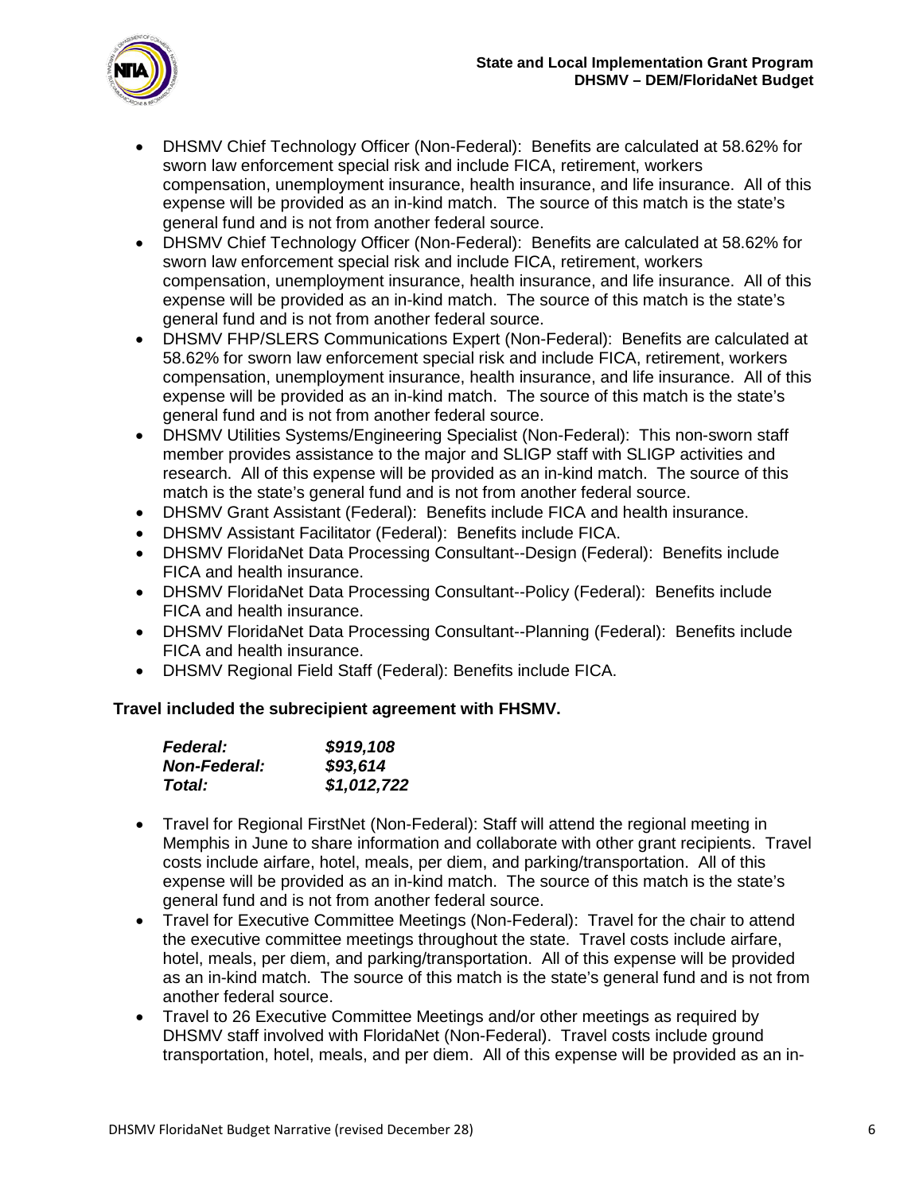

- DHSMV Chief Technology Officer (Non-Federal): Benefits are calculated at 58.62% for sworn law enforcement special risk and include FICA, retirement, workers compensation, unemployment insurance, health insurance, and life insurance. All of this expense will be provided as an in-kind match. The source of this match is the state's general fund and is not from another federal source.
- DHSMV Chief Technology Officer (Non-Federal): Benefits are calculated at 58.62% for sworn law enforcement special risk and include FICA, retirement, workers compensation, unemployment insurance, health insurance, and life insurance. All of this expense will be provided as an in-kind match. The source of this match is the state's general fund and is not from another federal source.
- DHSMV FHP/SLERS Communications Expert (Non-Federal): Benefits are calculated at 58.62% for sworn law enforcement special risk and include FICA, retirement, workers compensation, unemployment insurance, health insurance, and life insurance. All of this expense will be provided as an in-kind match. The source of this match is the state's general fund and is not from another federal source.
- DHSMV Utilities Systems/Engineering Specialist (Non-Federal): This non-sworn staff member provides assistance to the major and SLIGP staff with SLIGP activities and research. All of this expense will be provided as an in-kind match. The source of this match is the state's general fund and is not from another federal source.
- DHSMV Grant Assistant (Federal): Benefits include FICA and health insurance.
- DHSMV Assistant Facilitator (Federal): Benefits include FICA.
- DHSMV FloridaNet Data Processing Consultant--Design (Federal): Benefits include FICA and health insurance.
- DHSMV FloridaNet Data Processing Consultant--Policy (Federal): Benefits include FICA and health insurance.
- DHSMV FloridaNet Data Processing Consultant--Planning (Federal): Benefits include FICA and health insurance.
- DHSMV Regional Field Staff (Federal): Benefits include FICA.

#### **Travel included the subrecipient agreement with FHSMV.**

| <b>Federal:</b>     | \$919,108   |
|---------------------|-------------|
| <b>Non-Federal:</b> | \$93,614    |
| Total:              | \$1,012,722 |

- Travel for Regional FirstNet (Non-Federal): Staff will attend the regional meeting in Memphis in June to share information and collaborate with other grant recipients. Travel costs include airfare, hotel, meals, per diem, and parking/transportation. All of this expense will be provided as an in-kind match. The source of this match is the state's general fund and is not from another federal source.
- Travel for Executive Committee Meetings (Non-Federal): Travel for the chair to attend the executive committee meetings throughout the state. Travel costs include airfare, hotel, meals, per diem, and parking/transportation. All of this expense will be provided as an in-kind match. The source of this match is the state's general fund and is not from another federal source.
- Travel to 26 Executive Committee Meetings and/or other meetings as required by DHSMV staff involved with FloridaNet (Non-Federal). Travel costs include ground transportation, hotel, meals, and per diem. All of this expense will be provided as an in-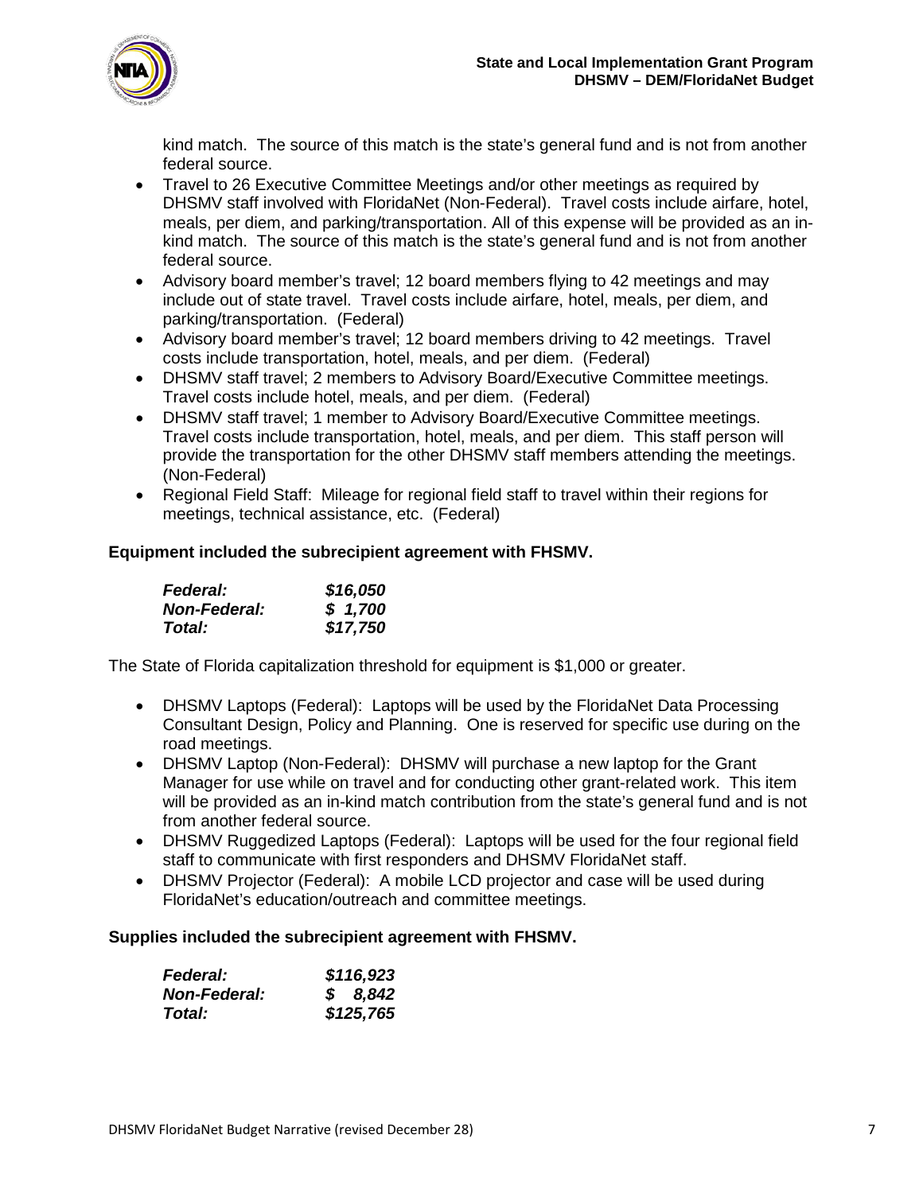

kind match. The source of this match is the state's general fund and is not from another federal source.

- Travel to 26 Executive Committee Meetings and/or other meetings as required by DHSMV staff involved with FloridaNet (Non-Federal). Travel costs include airfare, hotel, meals, per diem, and parking/transportation. All of this expense will be provided as an inkind match. The source of this match is the state's general fund and is not from another federal source.
- Advisory board member's travel; 12 board members flying to 42 meetings and may include out of state travel. Travel costs include airfare, hotel, meals, per diem, and parking/transportation. (Federal)
- Advisory board member's travel; 12 board members driving to 42 meetings. Travel costs include transportation, hotel, meals, and per diem. (Federal)
- DHSMV staff travel; 2 members to Advisory Board/Executive Committee meetings. Travel costs include hotel, meals, and per diem. (Federal)
- DHSMV staff travel; 1 member to Advisory Board/Executive Committee meetings. Travel costs include transportation, hotel, meals, and per diem. This staff person will provide the transportation for the other DHSMV staff members attending the meetings. (Non-Federal)
- Regional Field Staff: Mileage for regional field staff to travel within their regions for meetings, technical assistance, etc. (Federal)

### **Equipment included the subrecipient agreement with FHSMV.**

| <b>Federal:</b>     | \$16,050 |
|---------------------|----------|
| <b>Non-Federal:</b> | \$1,700  |
| <b>Total:</b>       | \$17,750 |

The State of Florida capitalization threshold for equipment is \$1,000 or greater.

- DHSMV Laptops (Federal): Laptops will be used by the FloridaNet Data Processing Consultant Design, Policy and Planning. One is reserved for specific use during on the road meetings.
- DHSMV Laptop (Non-Federal): DHSMV will purchase a new laptop for the Grant Manager for use while on travel and for conducting other grant-related work. This item will be provided as an in-kind match contribution from the state's general fund and is not from another federal source.
- DHSMV Ruggedized Laptops (Federal): Laptops will be used for the four regional field staff to communicate with first responders and DHSMV FloridaNet staff.
- DHSMV Projector (Federal): A mobile LCD projector and case will be used during FloridaNet's education/outreach and committee meetings.

#### **Supplies included the subrecipient agreement with FHSMV.**

| <b>Federal:</b>     | \$116,923 |
|---------------------|-----------|
| <b>Non-Federal:</b> | \$8,842   |
| Total:              | \$125,765 |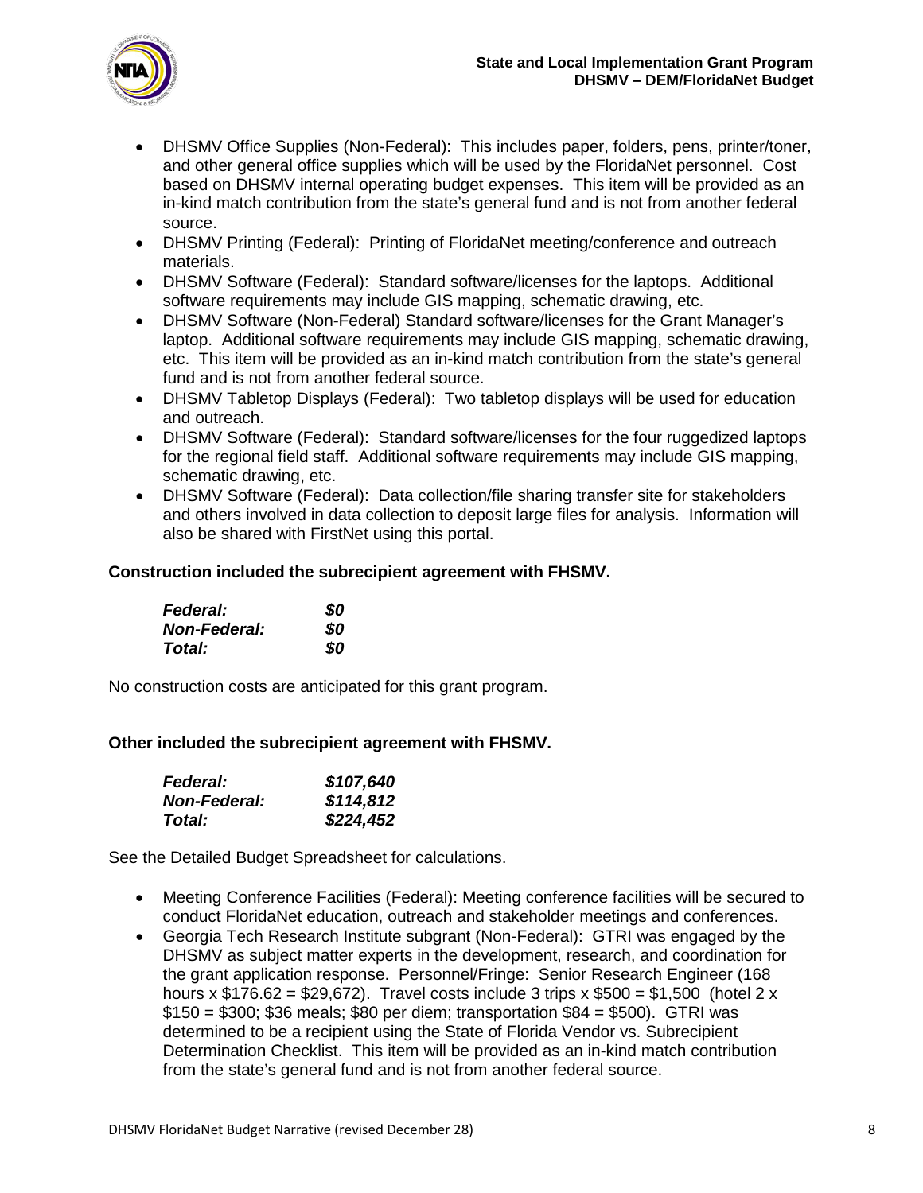

- DHSMV Office Supplies (Non-Federal): This includes paper, folders, pens, printer/toner, and other general office supplies which will be used by the FloridaNet personnel. Cost based on DHSMV internal operating budget expenses. This item will be provided as an in-kind match contribution from the state's general fund and is not from another federal source.
- DHSMV Printing (Federal): Printing of FloridaNet meeting/conference and outreach materials.
- DHSMV Software (Federal): Standard software/licenses for the laptops. Additional software requirements may include GIS mapping, schematic drawing, etc.
- DHSMV Software (Non-Federal) Standard software/licenses for the Grant Manager's laptop. Additional software requirements may include GIS mapping, schematic drawing, etc. This item will be provided as an in-kind match contribution from the state's general fund and is not from another federal source.
- DHSMV Tabletop Displays (Federal): Two tabletop displays will be used for education and outreach.
- DHSMV Software (Federal): Standard software/licenses for the four ruggedized laptops for the regional field staff. Additional software requirements may include GIS mapping, schematic drawing, etc.
- DHSMV Software (Federal): Data collection/file sharing transfer site for stakeholders and others involved in data collection to deposit large files for analysis. Information will also be shared with FirstNet using this portal.

### **Construction included the subrecipient agreement with FHSMV.**

| <b>Federal:</b>     | 80 |
|---------------------|----|
| <b>Non-Federal:</b> | 80 |
| Total:              | 80 |

No construction costs are anticipated for this grant program.

#### **Other included the subrecipient agreement with FHSMV.**

| <b>Federal:</b>     | \$107,640 |
|---------------------|-----------|
| <b>Non-Federal:</b> | \$114,812 |
| Total:              | \$224,452 |

See the Detailed Budget Spreadsheet for calculations.

- Meeting Conference Facilities (Federal): Meeting conference facilities will be secured to conduct FloridaNet education, outreach and stakeholder meetings and conferences.
- Georgia Tech Research Institute subgrant (Non-Federal): GTRI was engaged by the DHSMV as subject matter experts in the development, research, and coordination for the grant application response. Personnel/Fringe: Senior Research Engineer (168 hours x  $$176.62 = $29,672$ ). Travel costs include 3 trips x  $$500 = $1,500$  (hotel 2 x \$150 = \$300; \$36 meals; \$80 per diem; transportation \$84 = \$500). GTRI was determined to be a recipient using the State of Florida Vendor vs. Subrecipient Determination Checklist. This item will be provided as an in-kind match contribution from the state's general fund and is not from another federal source.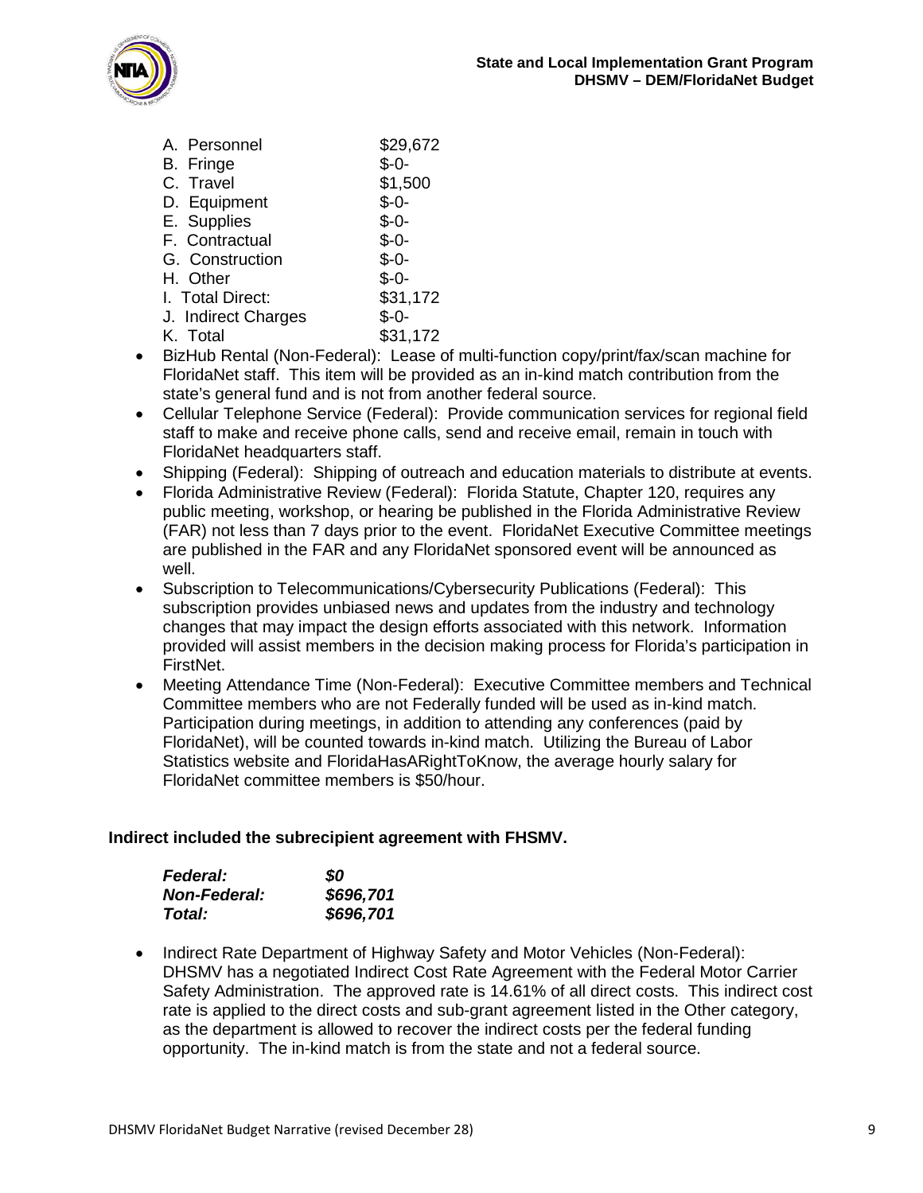

| A. Personnel        | \$29,672 |
|---------------------|----------|
| B. Fringe           | \$-0-    |
| C. Travel           | \$1,500  |
| D. Equipment        | $$ -0-$  |
| E. Supplies         | \$-0-    |
| F. Contractual      | \$-0-    |
| G. Construction     | $$ -0-$  |
| H. Other            | $$ -0-$  |
| I. Total Direct:    | \$31,172 |
| J. Indirect Charges | Ֆ-Օ-     |
| K. Total            | \$31,172 |

- BizHub Rental (Non-Federal): Lease of multi-function copy/print/fax/scan machine for FloridaNet staff. This item will be provided as an in-kind match contribution from the state's general fund and is not from another federal source.
- Cellular Telephone Service (Federal): Provide communication services for regional field staff to make and receive phone calls, send and receive email, remain in touch with FloridaNet headquarters staff.
- Shipping (Federal): Shipping of outreach and education materials to distribute at events.
- Florida Administrative Review (Federal): Florida Statute, Chapter 120, requires any public meeting, workshop, or hearing be published in the Florida Administrative Review (FAR) not less than 7 days prior to the event. FloridaNet Executive Committee meetings are published in the FAR and any FloridaNet sponsored event will be announced as well.
- Subscription to Telecommunications/Cybersecurity Publications (Federal): This subscription provides unbiased news and updates from the industry and technology changes that may impact the design efforts associated with this network. Information provided will assist members in the decision making process for Florida's participation in FirstNet.
- Meeting Attendance Time (Non-Federal): Executive Committee members and Technical Committee members who are not Federally funded will be used as in-kind match. Participation during meetings, in addition to attending any conferences (paid by FloridaNet), will be counted towards in-kind match. Utilizing the Bureau of Labor Statistics website and FloridaHasARightToKnow, the average hourly salary for FloridaNet committee members is \$50/hour.

#### **Indirect included the subrecipient agreement with FHSMV.**

| <b>Federal:</b>     | SO        |
|---------------------|-----------|
| <b>Non-Federal:</b> | \$696,701 |
| Total:              | \$696,701 |

• Indirect Rate Department of Highway Safety and Motor Vehicles (Non-Federal): DHSMV has a negotiated Indirect Cost Rate Agreement with the Federal Motor Carrier Safety Administration. The approved rate is 14.61% of all direct costs. This indirect cost rate is applied to the direct costs and sub-grant agreement listed in the Other category, as the department is allowed to recover the indirect costs per the federal funding opportunity. The in-kind match is from the state and not a federal source.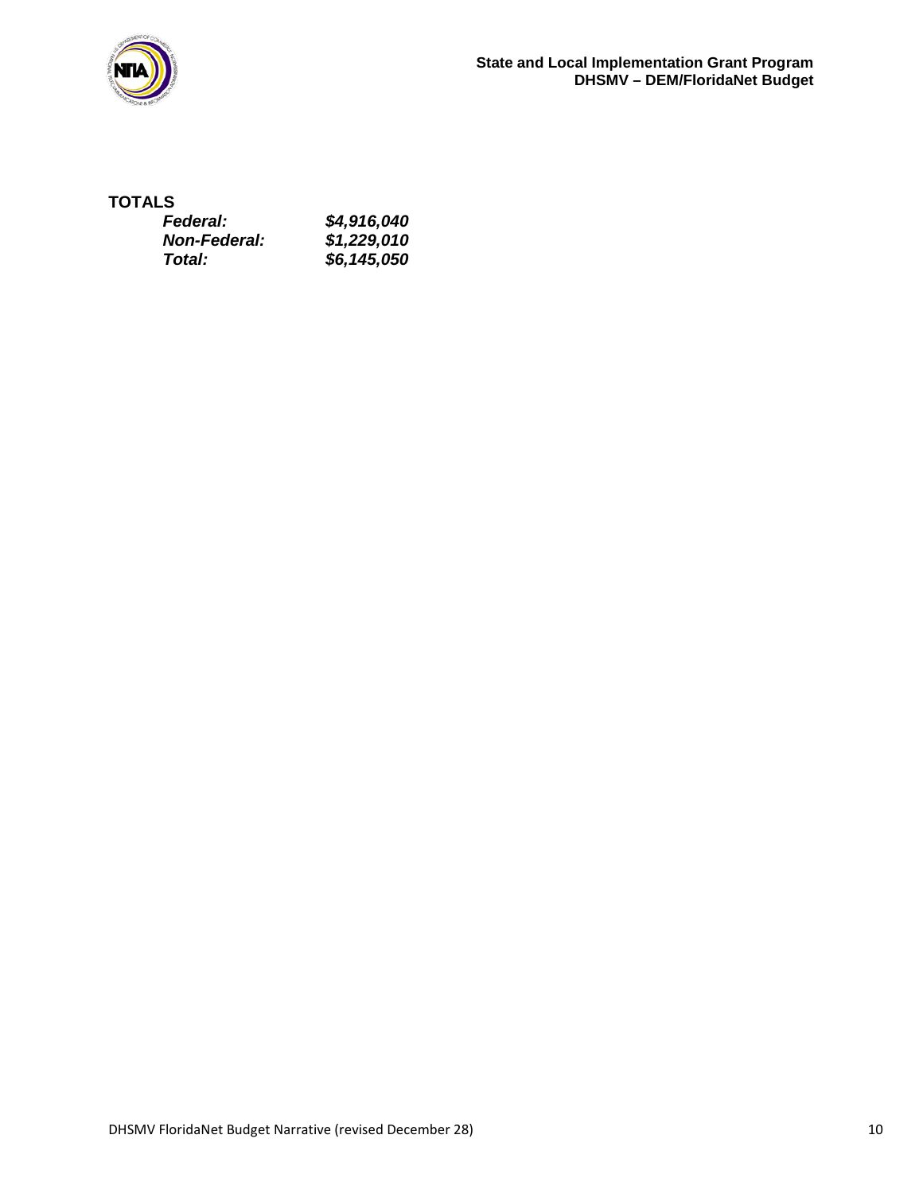

## **TOTALS**

| <b>Federal:</b>     | \$4,916,040 |
|---------------------|-------------|
| <b>Non-Federal:</b> | \$1,229,010 |
| Total:              | \$6,145,050 |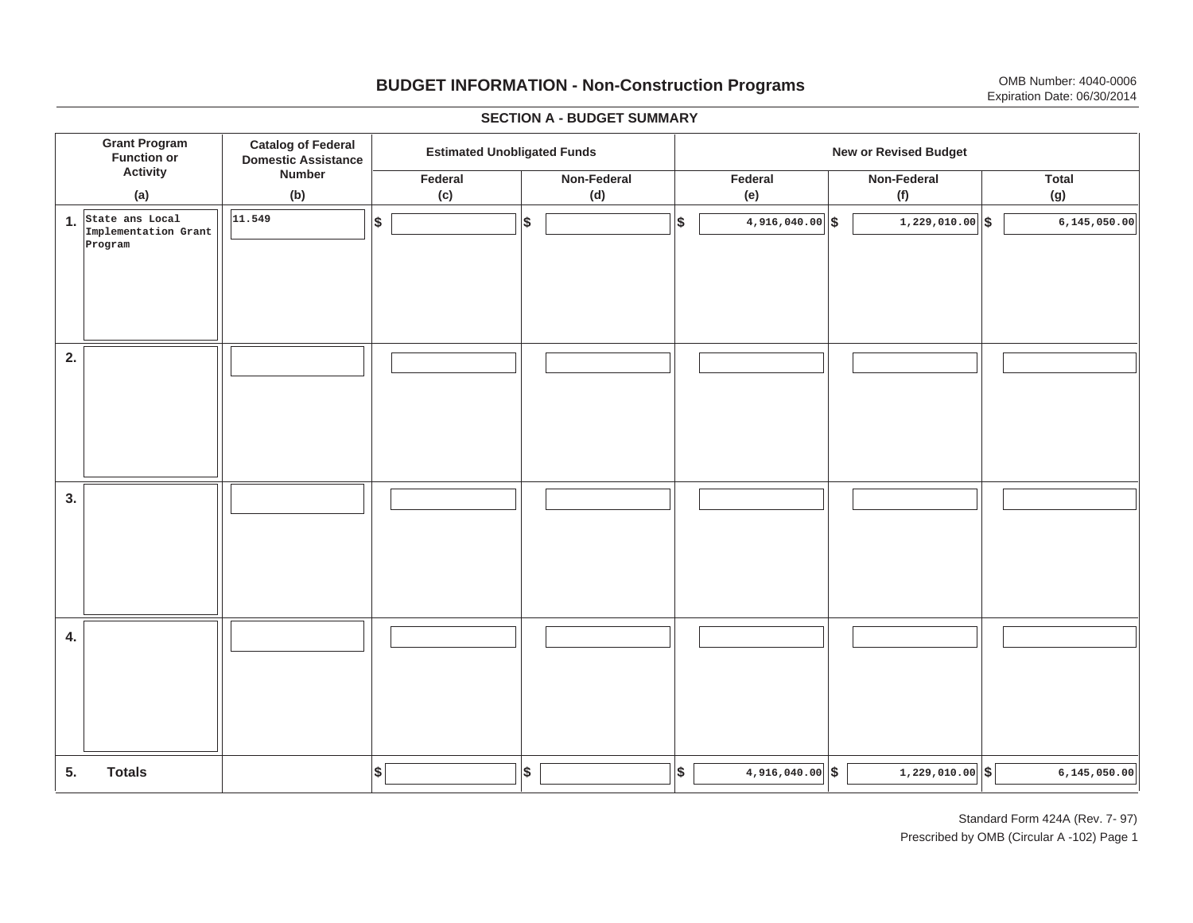# **BUDGET INFORMATION - Non-Construction Programs** OMB Number: 4040-0006 Expiration Date: 06/30/2014

**\$ Grant Program Function or Activity (a) Catalog of Federal Domestic Assistance Number (b) Estimated Unobligated Funds New or Revised Budget Federal(c) Non-Federal(d) Federal(e) Non-Federal(f) Total(g) 5. Totals4. 3. 2. 1.State ans Local \$\$\$\$ \$ \$ \$ \$ \$ 4,916,040.00 1,229,010.00 6,145,050.00 Implementation Grant Program 11.5494,916,040.00 6,145,050.00 6,145,050.00 6,145,050.00** 

#### **SECTION A - BUDGET SUMMARY**

Standard Form 424A (Rev. 7- 97) Prescribed by OMB (Circular A -102) Page 1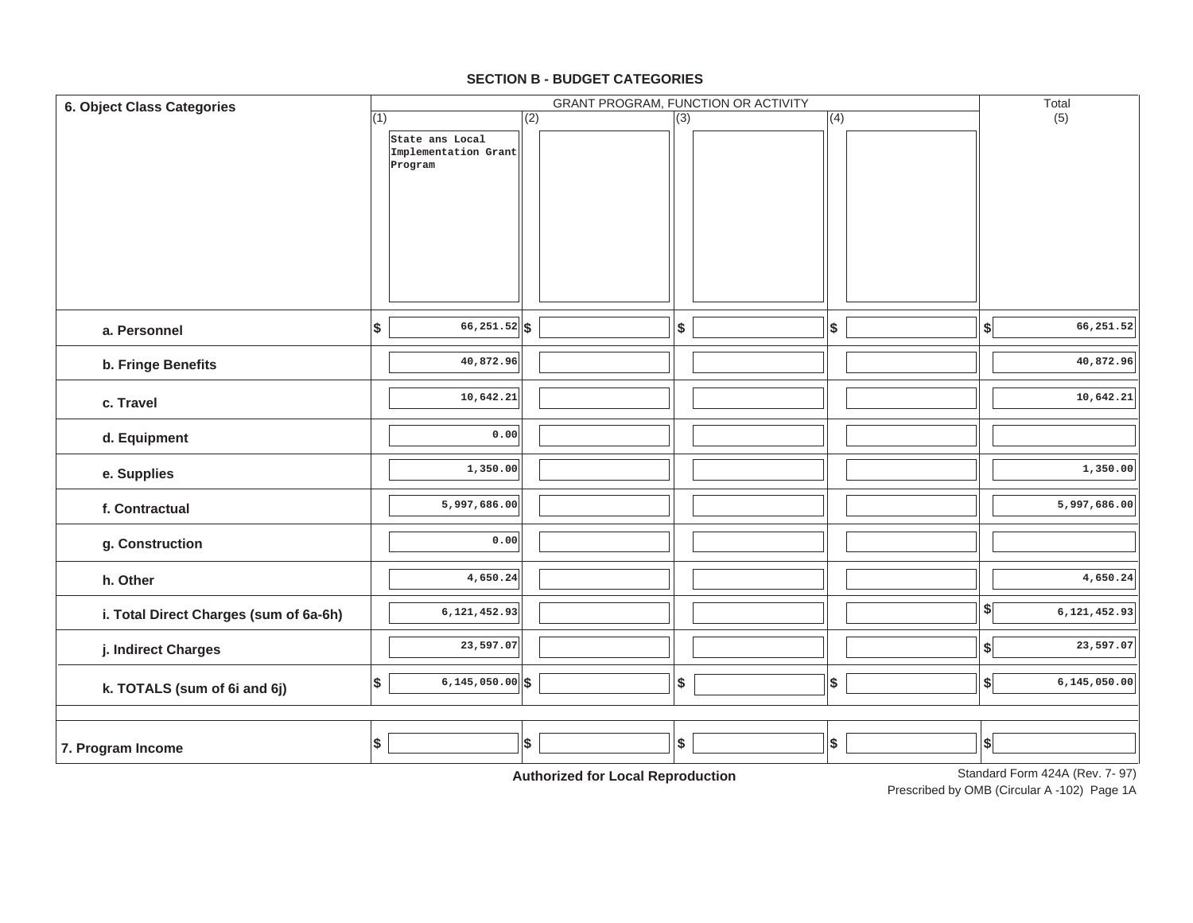| 6. Object Class Categories             | GRANT PROGRAM, FUNCTION OR ACTIVITY |                                 |     |                                 |     |  |                           |  |                                  | Total                          |
|----------------------------------------|-------------------------------------|---------------------------------|-----|---------------------------------|-----|--|---------------------------|--|----------------------------------|--------------------------------|
|                                        | (1)                                 |                                 | (2) |                                 | (3) |  | (4)                       |  |                                  | (5)                            |
|                                        |                                     | State ans Local                 |     |                                 |     |  |                           |  |                                  |                                |
|                                        |                                     | Implementation Grant<br>Program |     |                                 |     |  |                           |  |                                  |                                |
|                                        |                                     |                                 |     |                                 |     |  |                           |  |                                  |                                |
|                                        |                                     |                                 |     |                                 |     |  |                           |  |                                  |                                |
|                                        |                                     |                                 |     |                                 |     |  |                           |  |                                  |                                |
|                                        |                                     |                                 |     |                                 |     |  |                           |  |                                  |                                |
|                                        |                                     |                                 |     |                                 |     |  |                           |  |                                  |                                |
|                                        |                                     |                                 |     |                                 |     |  |                           |  |                                  |                                |
|                                        |                                     |                                 |     |                                 |     |  |                           |  |                                  |                                |
|                                        |                                     |                                 |     |                                 |     |  |                           |  |                                  |                                |
| a. Personnel                           | \$                                  | $66,251.52$ \$                  |     |                                 | \$  |  | $$\mathbb{S}$$            |  | \$                               | 66,251.52                      |
| b. Fringe Benefits                     |                                     | 40,872.96                       |     |                                 |     |  |                           |  |                                  | 40,872.96                      |
|                                        |                                     |                                 |     |                                 |     |  |                           |  |                                  |                                |
| c. Travel                              |                                     | 10,642.21                       |     |                                 |     |  |                           |  |                                  | 10,642.21                      |
|                                        |                                     |                                 |     |                                 |     |  |                           |  |                                  |                                |
| d. Equipment                           |                                     | 0.00                            |     |                                 |     |  |                           |  |                                  |                                |
|                                        |                                     |                                 |     |                                 |     |  |                           |  |                                  |                                |
| e. Supplies                            |                                     | 1,350.00                        |     |                                 |     |  |                           |  |                                  | 1,350.00                       |
| f. Contractual                         |                                     | 5,997,686.00                    |     |                                 |     |  |                           |  |                                  | 5,997,686.00                   |
|                                        |                                     |                                 |     |                                 |     |  |                           |  |                                  |                                |
| g. Construction                        |                                     | 0.00                            |     |                                 |     |  |                           |  |                                  |                                |
|                                        |                                     |                                 |     |                                 |     |  |                           |  |                                  |                                |
| h. Other                               |                                     | 4,650.24                        |     |                                 |     |  |                           |  |                                  | 4,650.24                       |
|                                        |                                     |                                 |     |                                 |     |  |                           |  |                                  |                                |
| i. Total Direct Charges (sum of 6a-6h) |                                     | 6,121,452.93                    |     |                                 |     |  |                           |  | $\sqrt{2}$                       | 6,121,452.93                   |
| j. Indirect Charges                    |                                     | 23,597.07                       |     |                                 |     |  |                           |  | \$                               | 23,597.07                      |
|                                        |                                     |                                 |     |                                 |     |  |                           |  |                                  |                                |
| k. TOTALS (sum of 6i and 6j)           | \$                                  | $6, 145, 050.00$ \$             |     |                                 | \$  |  | $\boldsymbol{\mathsf{s}}$ |  | $\boldsymbol{s}$                 | 6,145,050.00                   |
|                                        |                                     |                                 |     |                                 |     |  |                           |  |                                  |                                |
|                                        |                                     |                                 |     |                                 |     |  |                           |  |                                  |                                |
| 7. Program Income                      | $\frac{1}{2}$                       |                                 | \$  |                                 | \$  |  | $\pmb{\$}$                |  | $\left  \boldsymbol{\$} \right $ |                                |
|                                        |                                     |                                 |     | Authorization Load Dependington |     |  |                           |  |                                  | Standard Form 424A (Rev. 7-97) |

#### **SECTION B - BUDGET CATEGORIES**

**Authorized for Local Reproduction**

Standard Form 424A (Rev. 7- 97)

Prescribed by OMB (Circular A -102) Page 1A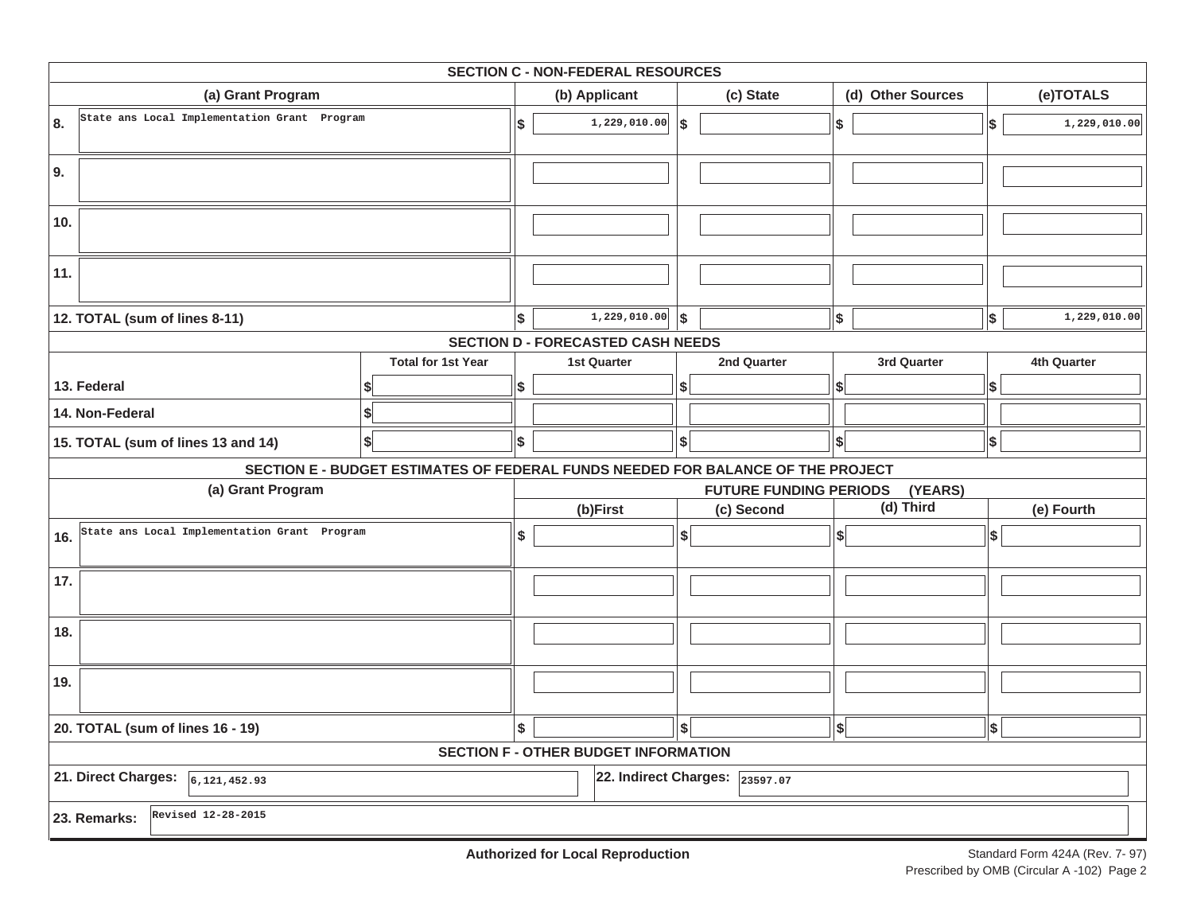| <b>SECTION C - NON-FEDERAL RESOURCES</b>            |                                                                                 |              |                                             |            |                                         |                     |             |              |              |  |  |  |  |
|-----------------------------------------------------|---------------------------------------------------------------------------------|--------------|---------------------------------------------|------------|-----------------------------------------|---------------------|-------------|--------------|--------------|--|--|--|--|
| (a) Grant Program                                   | (b) Applicant                                                                   |              |                                             | (c) State  | (d) Other Sources                       |                     |             | (e)TOTALS    |              |  |  |  |  |
| State ans Local Implementation Grant Program<br>8.  | \$                                                                              | 1,229,010.00 | ا\$                                         |            | $$$                                     |                     | \$          | 1,229,010.00 |              |  |  |  |  |
| 9.                                                  |                                                                                 |              |                                             |            |                                         |                     |             |              |              |  |  |  |  |
| 10.                                                 |                                                                                 |              |                                             |            |                                         |                     |             |              |              |  |  |  |  |
| 11.                                                 |                                                                                 |              |                                             |            |                                         |                     |             |              |              |  |  |  |  |
| 12. TOTAL (sum of lines 8-11)                       |                                                                                 | \$           | 1,229,010.00                                | $\vert$ \$ |                                         | $$$                 |             | \$           | 1,229,010.00 |  |  |  |  |
|                                                     |                                                                                 |              | <b>SECTION D - FORECASTED CASH NEEDS</b>    |            |                                         |                     |             |              |              |  |  |  |  |
|                                                     | <b>Total for 1st Year</b>                                                       |              |                                             |            |                                         |                     | 3rd Quarter |              | 4th Quarter  |  |  |  |  |
| 13. Federal                                         |                                                                                 |              |                                             |            |                                         | \$                  |             | \$           |              |  |  |  |  |
| 14. Non-Federal                                     | S                                                                               |              |                                             |            |                                         |                     |             |              |              |  |  |  |  |
| 15. TOTAL (sum of lines 13 and 14)                  | \$                                                                              | \$           |                                             | \$         |                                         | $ \boldsymbol{\$} $ |             | \$           |              |  |  |  |  |
|                                                     | SECTION E - BUDGET ESTIMATES OF FEDERAL FUNDS NEEDED FOR BALANCE OF THE PROJECT |              |                                             |            |                                         |                     |             |              |              |  |  |  |  |
| (a) Grant Program                                   |                                                                                 |              |                                             |            | <b>FUTURE FUNDING PERIODS</b>           |                     | (YEARS)     |              |              |  |  |  |  |
|                                                     |                                                                                 |              | (b)First                                    |            | (c) Second                              |                     | (d) Third   |              | (e) Fourth   |  |  |  |  |
| State ans Local Implementation Grant Program<br>16. |                                                                                 | \$           |                                             | \$         |                                         | \$                  |             | \$           |              |  |  |  |  |
| 17.                                                 |                                                                                 |              |                                             |            |                                         |                     |             |              |              |  |  |  |  |
| 18.                                                 |                                                                                 |              |                                             |            |                                         |                     |             |              |              |  |  |  |  |
| 19.                                                 |                                                                                 |              |                                             |            |                                         |                     |             |              |              |  |  |  |  |
| 20. TOTAL (sum of lines 16 - 19)                    | \$                                                                              |              | $\frac{1}{2}$                               |            | \$                                      |                     | \$          |              |              |  |  |  |  |
|                                                     |                                                                                 |              | <b>SECTION F - OTHER BUDGET INFORMATION</b> |            |                                         |                     |             |              |              |  |  |  |  |
| 21. Direct Charges: $\sqrt{6,121,452.93}$           |                                                                                 |              |                                             |            | 22. Indirect Charges: $\sqrt{23597.07}$ |                     |             |              |              |  |  |  |  |
| Revised 12-28-2015<br>23. Remarks:                  |                                                                                 |              |                                             |            |                                         |                     |             |              |              |  |  |  |  |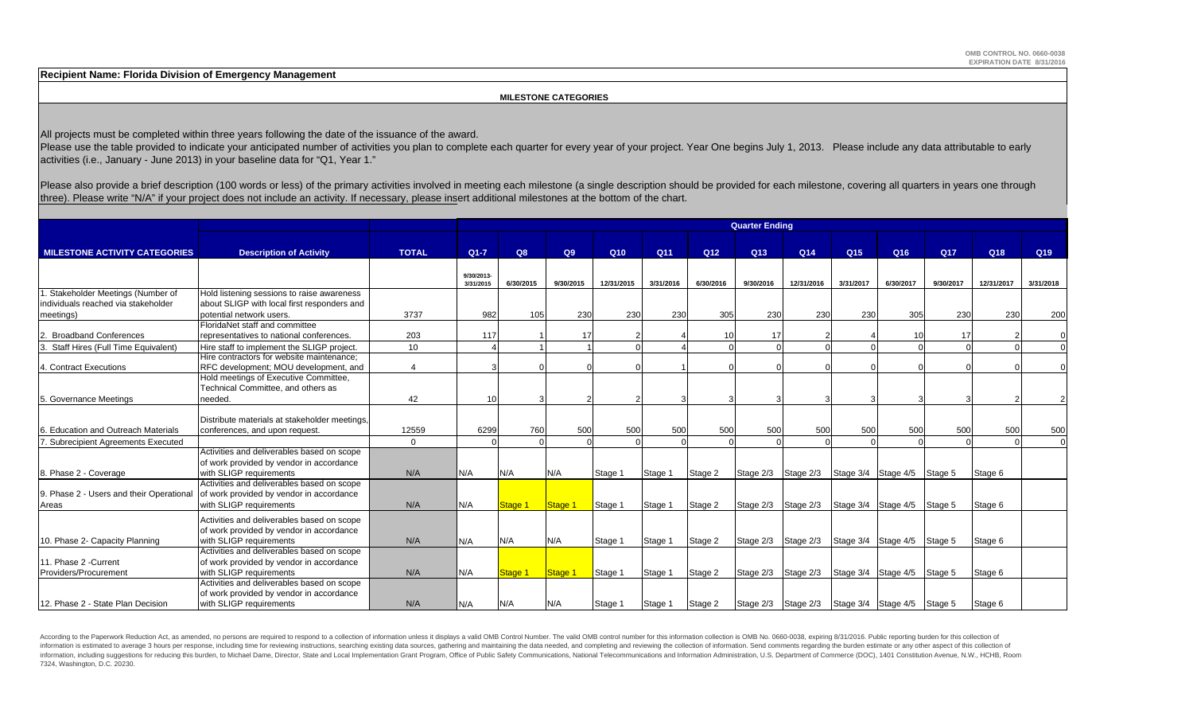**Recipient Name: Florida Division of Emergency Management**

#### **MILESTONE CATEGORIES**

All projects must be completed within three years following the date of the issuance of the award.

Please use the table provided to indicate your anticipated number of activities you plan to complete each quarter for every year of your project. Year One begins July 1, 2013. Please include any data attributable to early activities (i.e., January - June 2013) in your baseline data for "Q1, Year 1."

Please also provide a brief description (100 words or less) of the primary activities involved in meeting each milestone (a single description should be provided for each milestone, covering all quarters in years one throu three). Please write "N/A" if your project does not include an activity. If necessary, please insert additional milestones at the bottom of the chart.

|                                          |                                               |              | <b>Quarter Ending</b>   |           |           |            |           |                 |                 |            |                 |                             |                 |                 |                 |  |
|------------------------------------------|-----------------------------------------------|--------------|-------------------------|-----------|-----------|------------|-----------|-----------------|-----------------|------------|-----------------|-----------------------------|-----------------|-----------------|-----------------|--|
| <b>MILESTONE ACTIVITY CATEGORIES</b>     | <b>Description of Activity</b>                | <b>TOTAL</b> | $Q1 - 7$                | Q8        | Q9        | Q10        | Q11       | Q <sub>12</sub> | Q <sub>13</sub> | Q14        | Q <sub>15</sub> | Q16                         | Q <sub>17</sub> | Q <sub>18</sub> | Q <sub>19</sub> |  |
|                                          |                                               |              |                         |           |           |            |           |                 |                 |            |                 |                             |                 |                 |                 |  |
|                                          |                                               |              | 9/30/2013-<br>3/31/2015 | 6/30/2015 | 9/30/2015 | 12/31/2015 | 3/31/2016 | 6/30/2016       | 9/30/2016       | 12/31/2016 | 3/31/2017       | 6/30/2017                   | 9/30/2017       | 12/31/2017      | 3/31/2018       |  |
| Stakeholder Meetings (Number of          | Hold listening sessions to raise awareness    |              |                         |           |           |            |           |                 |                 |            |                 |                             |                 |                 |                 |  |
| individuals reached via stakeholder      | about SLIGP with local first responders and   |              |                         |           |           |            |           |                 |                 |            |                 |                             |                 |                 |                 |  |
| meetings)                                | potential network users.                      | 3737         | 982                     | 105       | 230       | 230        | 230       | 305             | 230             | 230        | 230             | 305                         | 230             | 230             | 200             |  |
|                                          | FloridaNet staff and committee                |              |                         |           |           |            |           |                 |                 |            |                 |                             |                 |                 |                 |  |
| <b>Broadband Conferences</b>             | representatives to national conferences.      | 203          | 117                     |           | 17        |            |           | 10 <sup>1</sup> |                 |            |                 | 10                          | 17              |                 |                 |  |
| Staff Hires (Full Time Equivalent)       | Hire staff to implement the SLIGP project.    | 10           |                         |           |           |            |           |                 |                 |            |                 |                             |                 |                 | $\Omega$        |  |
|                                          | Hire contractors for website maintenance;     |              |                         |           |           |            |           |                 |                 |            |                 |                             |                 |                 |                 |  |
| 4. Contract Executions                   | RFC development; MOU development, and         | $\Delta$     |                         |           |           |            |           |                 |                 |            |                 |                             |                 |                 |                 |  |
|                                          | Hold meetings of Executive Committee,         |              |                         |           |           |            |           |                 |                 |            |                 |                             |                 |                 |                 |  |
|                                          | Technical Committee, and others as            |              |                         |           |           |            |           |                 |                 |            |                 |                             |                 |                 |                 |  |
| 5. Governance Meetings                   | needed.                                       | 42           | 10                      |           |           |            |           |                 |                 |            |                 |                             |                 |                 | $\mathfrak{p}$  |  |
|                                          |                                               |              |                         |           |           |            |           |                 |                 |            |                 |                             |                 |                 |                 |  |
|                                          | Distribute materials at stakeholder meetings. |              |                         |           |           |            |           |                 |                 |            |                 |                             |                 |                 |                 |  |
| <b>Education and Outreach Materials</b>  | conferences, and upon request.                | 12559        | 6299                    | 760       | 500       | 500        | 500       | 500             | 500             | 500        | 500             | 500                         | 500             | 500             | 500             |  |
| . Subrecipient Agreements Executed       |                                               | $\Omega$     |                         |           |           |            |           | $\Omega$        |                 |            |                 |                             |                 |                 | $\Omega$        |  |
|                                          | Activities and deliverables based on scope    |              |                         |           |           |            |           |                 |                 |            |                 |                             |                 |                 |                 |  |
|                                          | of work provided by vendor in accordance      |              |                         |           |           |            |           |                 |                 |            |                 |                             |                 |                 |                 |  |
| 8. Phase 2 - Coverage                    | with SLIGP requirements                       | N/A          | N/A                     | N/A       | N/A       | Stage 1    | Stage 1   | Stage 2         | Stage 2/3       | Stage 2/3  |                 | Stage 3/4 Stage 4/5         | Stage 5         | Stage 6         |                 |  |
|                                          | Activities and deliverables based on scope    |              |                         |           |           |            |           |                 |                 |            |                 |                             |                 |                 |                 |  |
| 9. Phase 2 - Users and their Operational | of work provided by vendor in accordance      |              |                         |           |           |            |           |                 |                 |            |                 |                             |                 |                 |                 |  |
| Areas                                    | with SLIGP requirements                       | N/A          | N/A                     | Stage 1   | Stage 1   | Stage 1    | Stage 1   | Stage 2         | Stage 2/3       | Stage 2/3  |                 | Stage 3/4 Stage 4/5         | Stage 5         | Stage 6         |                 |  |
|                                          | Activities and deliverables based on scope    |              |                         |           |           |            |           |                 |                 |            |                 |                             |                 |                 |                 |  |
|                                          | of work provided by vendor in accordance      |              |                         |           |           |            |           |                 |                 |            |                 |                             |                 |                 |                 |  |
| 10. Phase 2- Capacity Planning           | with SLIGP requirements                       | N/A          | N/A                     | N/A       | N/A       | Stage 1    | Stage 1   | Stage 2         | Stage 2/3       | Stage 2/3  |                 | Stage 3/4 Stage 4/5         | Stage 5         | Stage 6         |                 |  |
|                                          | Activities and deliverables based on scope    |              |                         |           |           |            |           |                 |                 |            |                 |                             |                 |                 |                 |  |
| 11. Phase 2 - Current                    | of work provided by vendor in accordance      |              |                         |           |           |            |           |                 |                 |            |                 |                             |                 |                 |                 |  |
| Providers/Procurement                    | with SLIGP requirements                       | N/A          | N/A                     | Stage 1   | Stage 1   | Stage 1    | Stage 1   | Stage 2         | Stage 2/3       | Stage 2/3  |                 | Stage 3/4 Stage 4/5         | Stage 5         | Stage 6         |                 |  |
|                                          | Activities and deliverables based on scope    |              |                         |           |           |            |           |                 |                 |            |                 |                             |                 |                 |                 |  |
|                                          | of work provided by vendor in accordance      |              |                         |           |           |            |           |                 |                 |            |                 |                             |                 |                 |                 |  |
| 12. Phase 2 - State Plan Decision        | with SLIGP requirements                       | N/A          | IN/A                    | N/A       | N/A       | Stage 1    | Stage 1   | Stage 2         | Stage 2/3       | Stage 2/3  |                 | Stage 3/4 Stage 4/5 Stage 5 |                 | Stage 6         |                 |  |
|                                          |                                               |              |                         |           |           |            |           |                 |                 |            |                 |                             |                 |                 |                 |  |

According to the Paperwork Reduction Act, as amended, no persons are required to respond to a collection of information unless it displays a valid OMB Control Number. The valid OMB control number for this information colle information is estimated to average 3 hours per response, including time for reviewing instructions, searching existing data sources, gathering and maintaining the data needed, and completing and reviewing the collection o information, including suggestions for reducing this burden, to Michael Dame, Director, State and Local Implementation Grant Program, Office of Public Safety Communications, National Telecommunications and Information Admi 7324, Washington, D.C. 20230.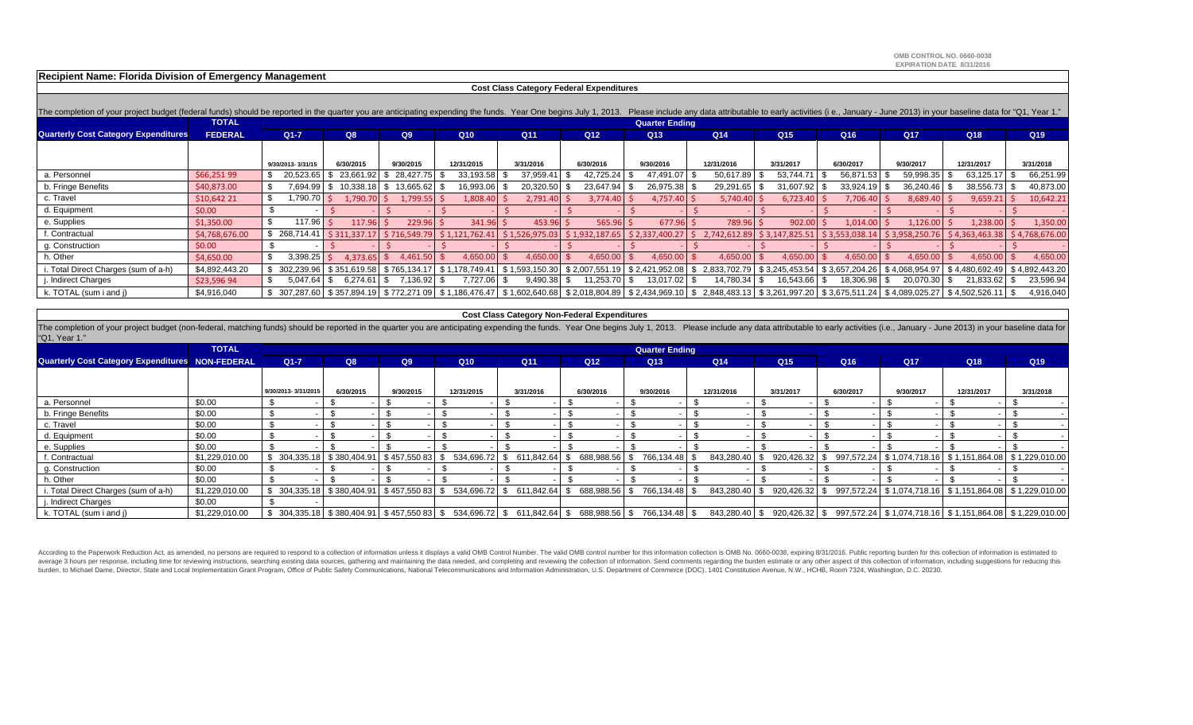**OMB CONTROL NO. 0660-0038EXPIRATION DATE 8/31/2016**

**Recipient Name: Florida Division of Emergency Management**

#### **Cost Class Category Federal Expenditures**

| The completion of your project budget (federal funds) should be reported in the quarter you are anticipating expending the funds. Year One begins July 1, 2013. Please include any data attributable to early activities (i e. |                |                   |                       |                             |                |                |                      |                 |                                                                                                                                                                                              |                             |                 |                 |                                                  |                |  |
|--------------------------------------------------------------------------------------------------------------------------------------------------------------------------------------------------------------------------------|----------------|-------------------|-----------------------|-----------------------------|----------------|----------------|----------------------|-----------------|----------------------------------------------------------------------------------------------------------------------------------------------------------------------------------------------|-----------------------------|-----------------|-----------------|--------------------------------------------------|----------------|--|
|                                                                                                                                                                                                                                | <b>TOTAL</b>   |                   | <b>Quarter Ending</b> |                             |                |                |                      |                 |                                                                                                                                                                                              |                             |                 |                 |                                                  |                |  |
| <b>Quarterly Cost Category Expenditures</b>                                                                                                                                                                                    | <b>FEDERAL</b> | $Q1 - 7$          | Q8                    | Q9                          | Q10            | Q11            | Q <sub>12</sub>      | Q <sub>13</sub> | Q14                                                                                                                                                                                          | Q <sub>15</sub>             | Q <sub>16</sub> | Q <sub>17</sub> | Q <sub>18</sub>                                  | Q19            |  |
|                                                                                                                                                                                                                                |                |                   |                       |                             |                |                |                      |                 |                                                                                                                                                                                              |                             |                 |                 |                                                  |                |  |
|                                                                                                                                                                                                                                |                | 9/30/2013-3/31/15 | 6/30/2015             | 9/30/2015                   | 12/31/2015     | 3/31/2016      | 6/30/2016            | 9/30/2016       | 12/31/2016                                                                                                                                                                                   | 3/31/2017                   | 6/30/2017       | 9/30/2017       | 12/31/2017                                       | 3/31/2018      |  |
| a. Personnel                                                                                                                                                                                                                   | \$66,251 99    | 20,523.65         | 23.661.92 \$          | 28.427.75                   | 33,193.58      | 37,959.41      | 42.725.24            | 47,491.07 \$    | 50,617.89                                                                                                                                                                                    | 53,744.71                   | 56.871.53       | 59,998.35       | 63,125.17                                        | 66,251.99      |  |
| b. Fringe Benefits                                                                                                                                                                                                             | \$40,873.00    | 694.99"           | 1.338.18              | 13,665.62<br>3 S            | 16,993.06      | 20,320.50      | 23,647.94            | 26,975.38 \$    | 29,291.65                                                                                                                                                                                    | 31,607.92                   | 33,924.19       | 36,240.46       | 38,556.73                                        | 40,873.00      |  |
| c. Travel                                                                                                                                                                                                                      | \$10,64221     | 1,790.70          | 1,790.70              | 1,799.55                    | 1,808.40       | 2,791.40       | 3.774.40             | 4,757.40 \$     | 5,740.40                                                                                                                                                                                     | 6,723.40                    | 7,706.40        | 8,689.40        | 9,659.21                                         | 10,642.21      |  |
| d. Equipment                                                                                                                                                                                                                   | \$0.00         |                   |                       |                             |                |                |                      |                 |                                                                                                                                                                                              |                             |                 |                 |                                                  |                |  |
| e. Supplies                                                                                                                                                                                                                    | \$1,350.00     | 117.96            | $117.96$ \$           | 229.96                      | 341.96         | 453.96         | 565.96               | 677.96          | 789.96                                                                                                                                                                                       | 902.00                      | 1,014.00        | 1,126.00        | 1,238.00                                         | 1,350.00       |  |
| f. Contractual                                                                                                                                                                                                                 | \$4,768,676.00 | 268,714.41        |                       | $$311,337.17$ $$716,549.79$ | \$1.121.762.41 | \$1,526,975.03 | \$1.932.187.65       | \$2,337,400.27  | 2.742.612.89                                                                                                                                                                                 | \$3.147.825.51              | \$3,553,038.14  | \$3.958.250.76  | \$4,363,463.38                                   | \$4,768,676.00 |  |
| g. Construction                                                                                                                                                                                                                | \$0.00         |                   |                       |                             |                |                |                      |                 |                                                                                                                                                                                              |                             |                 |                 |                                                  |                |  |
| h. Other                                                                                                                                                                                                                       | \$4,650.00     | 3,398.25          | $4.373.65$ \$         | 4.461.50                    | 4,650.0        | 4,650.         | 4,650.00             | 4,650.00        | 4,650.                                                                                                                                                                                       | 4,650.00                    | 4,650.00        | 4,650.00        | 4,650.00                                         | 4,650.00       |  |
| i. Total Direct Charges (sum of a-h)                                                                                                                                                                                           | \$4,892,443.20 | 302.239.96        | \$351.619.58          | \$765.134.17                | \$1,178,749.41 | \$1.593.150.30 | \$2.007.551.<br>.191 | \$2.421.952.08  |                                                                                                                                                                                              | 2.833.702.79 \$3.245.453.54 |                 |                 | \$3.657.204.26   \$4.068.954.97   \$4.480.692.49 | \$4,892,443.20 |  |
| j. Indirect Charges                                                                                                                                                                                                            | \$23,596 94    | $5,047.64$ \$     | $6.274.61$ \ \ \$     | 7,136.92                    | 7,727.06 \$    | 9,490.38       | 11,253.70            | 13,017.02 \$    | 14,780.34 \$                                                                                                                                                                                 | 16,543.66                   | 18,306.98       | 20,070.30       | 21,833.62                                        | 23,596.94      |  |
| k. TOTAL (sum i and j)                                                                                                                                                                                                         | \$4,916,040    |                   |                       |                             |                |                |                      |                 | \$ 307,287.60 \$ 357,894.19 \$ 772,271 09 \$ 1,186,476.47 \$ 1,602,640.68 \$ 2,018,804.89 \$ 2,434,969.10 \$ 2,848,483.13 \$ 3,261,997.20 \$ 3,675,511.24 \$ 4,089,025.27 \$ 4,502,526.11 \$ |                             |                 |                 |                                                  | 4,916,040      |  |

#### **Cost Class Category Non-Federal Expenditures**

The completion of your project budget (non-federal, matching funds) should be reported in the quarter you are anticipating expending the funds. Year One begins July 1, 2013. Please include any data attributable to early ac "Q1, Year 1."

|                                                  | <b>TOTAL</b>   |                     | <b>Quarter Ending</b>          |           |            |                                                                                                                                                                                              |               |               |               |                 |                 |           |                                                                                                        |            |           |
|--------------------------------------------------|----------------|---------------------|--------------------------------|-----------|------------|----------------------------------------------------------------------------------------------------------------------------------------------------------------------------------------------|---------------|---------------|---------------|-----------------|-----------------|-----------|--------------------------------------------------------------------------------------------------------|------------|-----------|
| Quarterly Cost Category Expenditures NON-FEDERAL |                | $Q1 - 7$            | Q8                             | Q9        | Q10        | Q <sub>11</sub>                                                                                                                                                                              | Q12           | Q13           |               | Q <sub>14</sub> | Q <sub>15</sub> | Q16       | Q17                                                                                                    | Q18        | Q19       |
|                                                  |                |                     |                                |           |            |                                                                                                                                                                                              |               |               |               |                 |                 |           |                                                                                                        |            |           |
|                                                  |                | 9/30/2013-3/31/2015 | 6/30/2015                      | 9/30/2015 | 12/31/2015 | 3/31/2016                                                                                                                                                                                    | 6/30/2016     | 9/30/2016     |               | 12/31/2016      | 3/31/2017       | 6/30/2017 | 9/30/2017                                                                                              | 12/31/2017 | 3/31/2018 |
| a. Personnel                                     | \$0.00         |                     |                                |           |            |                                                                                                                                                                                              |               |               |               |                 |                 |           |                                                                                                        |            |           |
| b. Fringe Benefits                               | \$0.00         |                     |                                |           |            |                                                                                                                                                                                              |               |               |               |                 |                 |           |                                                                                                        |            |           |
| c. Travel                                        | \$0.00         |                     |                                |           |            |                                                                                                                                                                                              |               |               |               |                 |                 |           |                                                                                                        |            |           |
| d. Equipment                                     | \$0.00         |                     |                                |           |            |                                                                                                                                                                                              |               |               |               |                 |                 |           |                                                                                                        |            |           |
| e. Supplies                                      | \$0.00         |                     |                                |           |            |                                                                                                                                                                                              |               |               |               |                 |                 |           |                                                                                                        |            |           |
| f. Contractual                                   | \$1,229,010.00 | \$304,335.18        | $$380,404.91$ $$457,55083$ $$$ |           |            | 534,696.72 \$ 611,842.64 \$                                                                                                                                                                  | 688,988.56 \$ |               | 766,134.48 \$ | 843,280.40 \$   | 920,426.32      | S.        | 997,572.24 \$1,074,718.16 \$1,151,864.08 \$1,229,010.00                                                |            |           |
| g. Construction                                  | \$0.00         |                     |                                |           |            |                                                                                                                                                                                              |               |               |               |                 |                 |           |                                                                                                        |            |           |
| h. Other                                         | \$0.00         |                     |                                |           |            |                                                                                                                                                                                              |               |               |               |                 |                 |           |                                                                                                        |            |           |
| i. Total Direct Charges (sum of a-h)             | \$1,229,010.00 |                     |                                |           |            | $$304,335.18$$ $$380,404.91$$ $$457,550.83$$ $$534,696.72$$ $$611,842.64$$ $$5$                                                                                                              | 688,988.56 \$ | 766,134.48 \$ |               |                 |                 |           | 843,280.40   \$ 920,426.32   \$ 997,572.24   \$ 1,074,718.16   \$ 1,151,864.08   \$ 1,229,010.00       |            |           |
| . Indirect Charges                               | \$0.00         |                     |                                |           |            |                                                                                                                                                                                              |               |               |               |                 |                 |           |                                                                                                        |            |           |
| k. TOTAL (sum i and j)                           | \$1,229,010.00 |                     |                                |           |            | $\frac{1}{3}$ 304,335.18 $\frac{1}{3}$ 380,404.91 $\frac{1}{3}$ 457,550 83 $\frac{1}{3}$ 534,696.72 $\frac{1}{3}$ 611,842.64 $\frac{1}{3}$ 688,988.56 $\frac{1}{3}$ 766,134.48 $\frac{1}{3}$ |               |               |               |                 |                 |           | $843,280.40$   \$ $920,426.32$   \$ $997,572.24$   \$ 1,074,718.16   \$ 1,151,864.08   \$ 1,229,010.00 |            |           |

According to the Paperwork Reduction Act, as amended, no persons are required to respond to a collection of information unless it displays a valid OMB Control Number. The valid OMB control number for this information colle average 3 hours per response, including time for reviewing instructions, searching existing data sources, gathering and maintaining the data needed, and completing and reviewing the collection of information. Send comments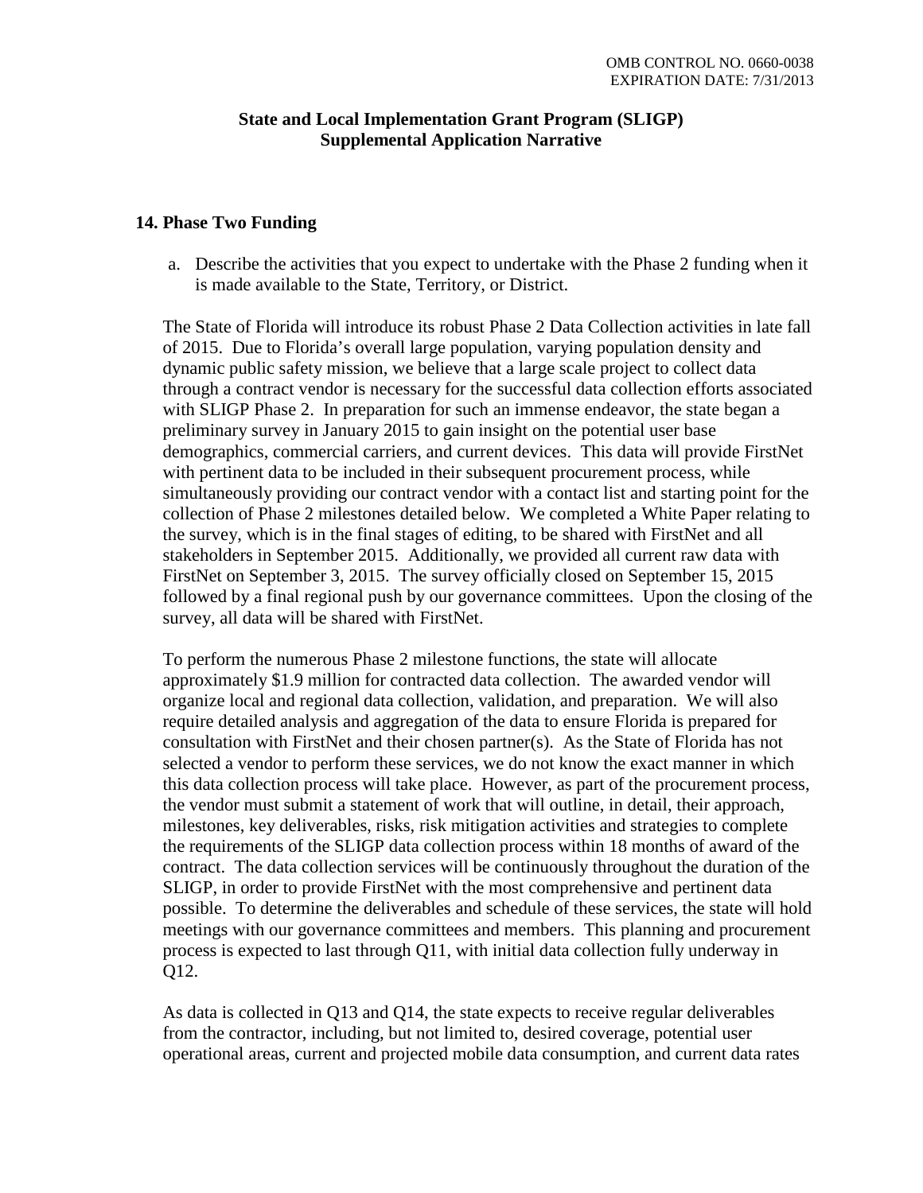#### **State and Local Implementation Grant Program (SLIGP) Supplemental Application Narrative**

#### **14. Phase Two Funding**

a. Describe the activities that you expect to undertake with the Phase 2 funding when it is made available to the State, Territory, or District.

The State of Florida will introduce its robust Phase 2 Data Collection activities in late fall of 2015. Due to Florida's overall large population, varying population density and dynamic public safety mission, we believe that a large scale project to collect data through a contract vendor is necessary for the successful data collection efforts associated with SLIGP Phase 2. In preparation for such an immense endeavor, the state began a preliminary survey in January 2015 to gain insight on the potential user base demographics, commercial carriers, and current devices. This data will provide FirstNet with pertinent data to be included in their subsequent procurement process, while simultaneously providing our contract vendor with a contact list and starting point for the collection of Phase 2 milestones detailed below. We completed a White Paper relating to the survey, which is in the final stages of editing, to be shared with FirstNet and all stakeholders in September 2015. Additionally, we provided all current raw data with FirstNet on September 3, 2015. The survey officially closed on September 15, 2015 followed by a final regional push by our governance committees. Upon the closing of the survey, all data will be shared with FirstNet.

To perform the numerous Phase 2 milestone functions, the state will allocate approximately \$1.9 million for contracted data collection. The awarded vendor will organize local and regional data collection, validation, and preparation. We will also require detailed analysis and aggregation of the data to ensure Florida is prepared for consultation with FirstNet and their chosen partner(s). As the State of Florida has not selected a vendor to perform these services, we do not know the exact manner in which this data collection process will take place. However, as part of the procurement process, the vendor must submit a statement of work that will outline, in detail, their approach, milestones, key deliverables, risks, risk mitigation activities and strategies to complete the requirements of the SLIGP data collection process within 18 months of award of the contract. The data collection services will be continuously throughout the duration of the SLIGP, in order to provide FirstNet with the most comprehensive and pertinent data possible. To determine the deliverables and schedule of these services, the state will hold meetings with our governance committees and members. This planning and procurement process is expected to last through Q11, with initial data collection fully underway in Q12.

As data is collected in Q13 and Q14, the state expects to receive regular deliverables from the contractor, including, but not limited to, desired coverage, potential user operational areas, current and projected mobile data consumption, and current data rates